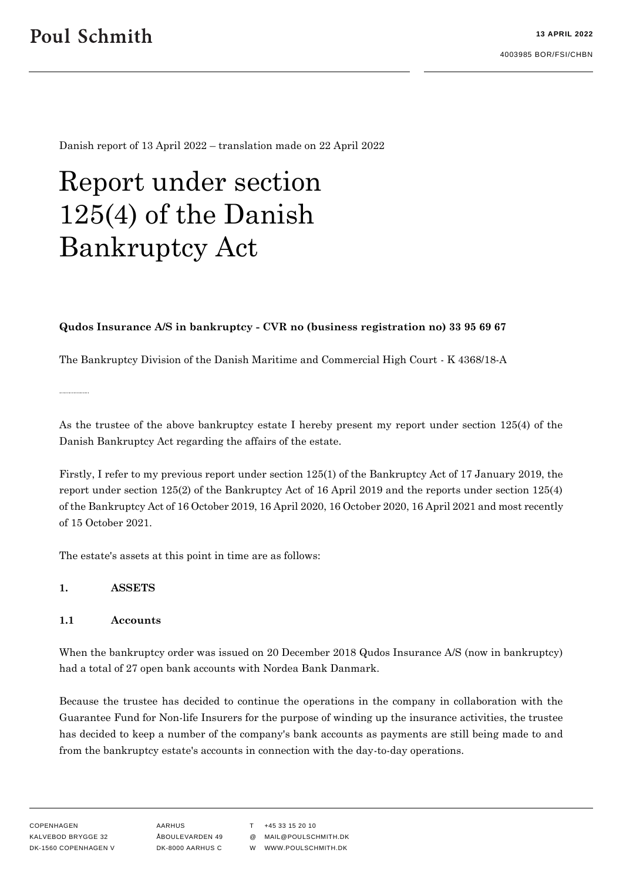Danish report of 13 April 2022 – translation made on 22 April 2022

# Report under section 125(4) of the Danish Bankruptcy Act

#### **Qudos Insurance A/S in bankruptcy - CVR no (business registration no) 33 95 69 67**

The Bankruptcy Division of the Danish Maritime and Commercial High Court - K 4368/18-A

As the trustee of the above bankruptcy estate I hereby present my report under section 125(4) of the Danish Bankruptcy Act regarding the affairs of the estate.

Firstly, I refer to my previous report under section 125(1) of the Bankruptcy Act of 17 January 2019, the report under section 125(2) of the Bankruptcy Act of 16 April 2019 and the reports under section 125(4) of the Bankruptcy Act of 16 October 2019, 16 April 2020, 16 October 2020, 16 April 2021 and most recently of 15 October 2021.

The estate's assets at this point in time are as follows:

#### **1. ASSETS**

#### **1.1 Accounts**

When the bankruptcy order was issued on 20 December 2018 Qudos Insurance A/S (now in bankruptcy) had a total of 27 open bank accounts with Nordea Bank Danmark.

Because the trustee has decided to continue the operations in the company in collaboration with the Guarantee Fund for Non-life Insurers for the purpose of winding up the insurance activities, the trustee has decided to keep a number of the company's bank accounts as payments are still being made to and from the bankruptcy estate's accounts in connection with the day-to-day operations.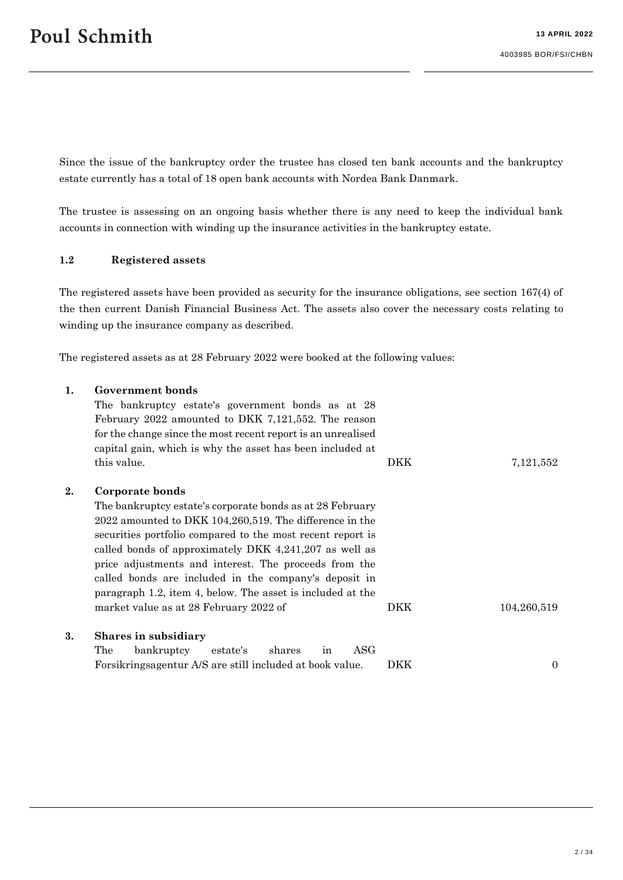Since the issue of the bankruptcy order the trustee has closed ten bank accounts and the bankruptcy estate currently has a total of 18 open bank accounts with Nordea Bank Danmark.

The trustee is assessing on an ongoing basis whether there is any need to keep the individual bank accounts in connection with winding up the insurance activities in the bankruptcy estate.

#### **1.2 Registered assets**

The registered assets have been provided as security for the insurance obligations, see section 167(4) of the then current Danish Financial Business Act. The assets also cover the necessary costs relating to winding up the insurance company as described.

The registered assets as at 28 February 2022 were booked at the following values:

#### **1. Government bonds**

|    | The bankruptcy estate's government bonds as at 28<br>February 2022 amounted to DKK 7,121,552. The reason<br>for the change since the most recent report is an unrealised<br>capital gain, which is why the asset has been included at                                                                                                                                                                                                           |     |             |
|----|-------------------------------------------------------------------------------------------------------------------------------------------------------------------------------------------------------------------------------------------------------------------------------------------------------------------------------------------------------------------------------------------------------------------------------------------------|-----|-------------|
|    | this value.                                                                                                                                                                                                                                                                                                                                                                                                                                     | DKK | 7,121,552   |
| 2. | Corporate bonds<br>The bankruptcy estate's corporate bonds as at 28 February<br>2022 amounted to DKK 104,260,519. The difference in the<br>securities portfolio compared to the most recent report is<br>called bonds of approximately DKK 4,241,207 as well as<br>price adjustments and interest. The proceeds from the<br>called bonds are included in the company's deposit in<br>paragraph 1.2, item 4, below. The asset is included at the |     |             |
|    | market value as at 28 February 2022 of                                                                                                                                                                                                                                                                                                                                                                                                          | DKK | 104,260,519 |
| 3. | Shares in subsidiary<br>ASG<br>The<br>bankruptcy<br>shares<br>estate's<br>in                                                                                                                                                                                                                                                                                                                                                                    |     |             |
|    | Forsikringsagentur A/S are still included at book value.                                                                                                                                                                                                                                                                                                                                                                                        | DKK | $\theta$    |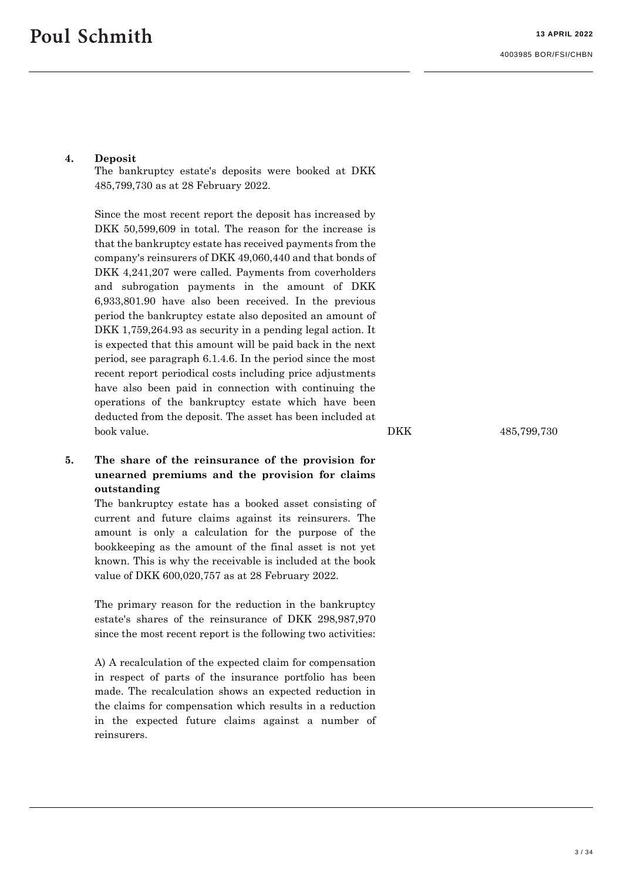### **4. Deposit**

The bankruptcy estate's deposits were booked at DKK 485,799,730 as at 28 February 2022.

Since the most recent report the deposit has increased by DKK 50,599,609 in total. The reason for the increase is that the bankruptcy estate has received payments from the company's reinsurers of DKK 49,060,440 and that bonds of DKK 4,241,207 were called. Payments from coverholders and subrogation payments in the amount of DKK 6,933,801.90 have also been received. In the previous period the bankruptcy estate also deposited an amount of DKK 1,759,264.93 as security in a pending legal action. It is expected that this amount will be paid back in the next period, see paragraph 6.1.4.6. In the period since the most recent report periodical costs including price adjustments have also been paid in connection with continuing the operations of the bankruptcy estate which have been deducted from the deposit. The asset has been included at book value. DKK 485,799,730

**5. The share of the reinsurance of the provision for unearned premiums and the provision for claims outstanding**

The bankruptcy estate has a booked asset consisting of current and future claims against its reinsurers. The amount is only a calculation for the purpose of the bookkeeping as the amount of the final asset is not yet known. This is why the receivable is included at the book value of DKK 600,020,757 as at 28 February 2022.

The primary reason for the reduction in the bankruptcy estate's shares of the reinsurance of DKK 298,987,970 since the most recent report is the following two activities:

A) A recalculation of the expected claim for compensation in respect of parts of the insurance portfolio has been made. The recalculation shows an expected reduction in the claims for compensation which results in a reduction in the expected future claims against a number of reinsurers.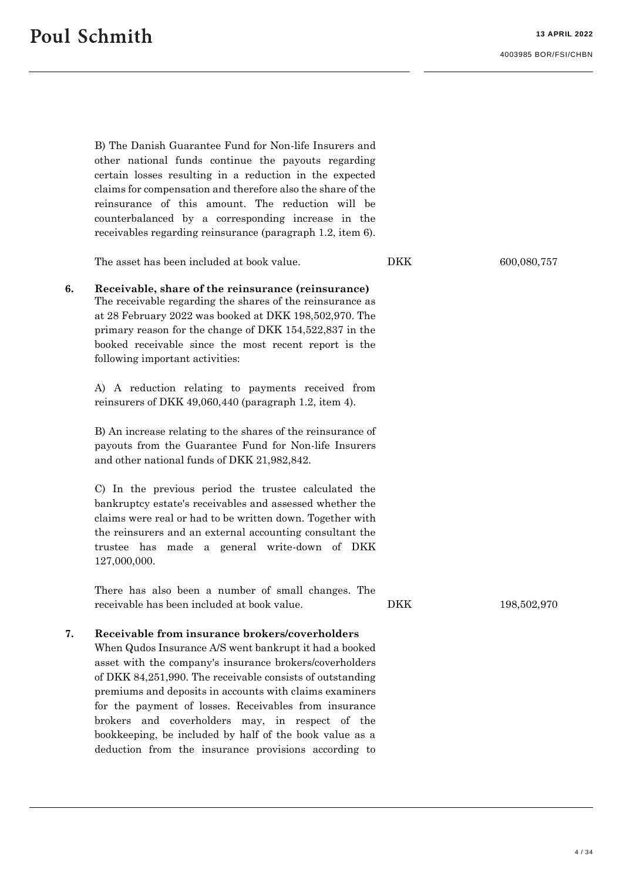B) The Danish Guarantee Fund for Non-life Insurers and other national funds continue the payouts regarding certain losses resulting in a reduction in the expected claims for compensation and therefore also the share of the reinsurance of this amount. The reduction will be counterbalanced by a corresponding increase in the receivables regarding reinsurance (paragraph 1.2, item 6). The asset has been included at book value. DKK 600,080,757 **6. Receivable, share of the reinsurance (reinsurance)** The receivable regarding the shares of the reinsurance as at 28 February 2022 was booked at DKK 198,502,970. The primary reason for the change of DKK 154,522,837 in the booked receivable since the most recent report is the following important activities: A) A reduction relating to payments received from reinsurers of DKK 49,060,440 (paragraph 1.2, item 4). B) An increase relating to the shares of the reinsurance of payouts from the Guarantee Fund for Non-life Insurers and other national funds of DKK 21,982,842. C) In the previous period the trustee calculated the bankruptcy estate's receivables and assessed whether the claims were real or had to be written down. Together with the reinsurers and an external accounting consultant the trustee has made a general write-down of DKK 127,000,000. There has also been a number of small changes. The receivable has been included at book value. DKK 198,502,970 **7. Receivable from insurance brokers/coverholders** When Qudos Insurance A/S went bankrupt it had a booked asset with the company's insurance brokers/coverholders of DKK 84,251,990. The receivable consists of outstanding premiums and deposits in accounts with claims examiners for the payment of losses. Receivables from insurance brokers and coverholders may, in respect of the bookkeeping, be included by half of the book value as a

deduction from the insurance provisions according to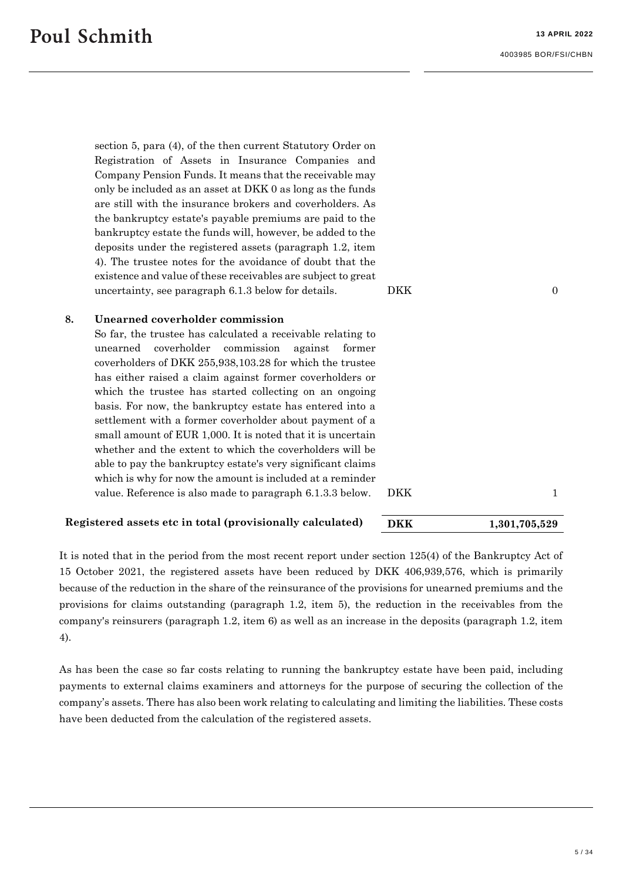section 5, para (4), of the then current Statutory Order on Registration of Assets in Insurance Companies and Company Pension Funds. It means that the receivable may only be included as an asset at DKK 0 as long as the funds are still with the insurance brokers and coverholders. As the bankruptcy estate's payable premiums are paid to the bankruptcy estate the funds will, however, be added to the deposits under the registered assets (paragraph 1.2, item 4). The trustee notes for the avoidance of doubt that the existence and value of these receivables are subject to great uncertainty, see paragraph  $6.1.3$  below for details. DKK DKK 0

#### **8. Unearned coverholder commission**

So far, the trustee has calculated a receivable relating to unearned coverholder commission against former coverholders of DKK 255,938,103.28 for which the trustee has either raised a claim against former coverholders or which the trustee has started collecting on an ongoing basis. For now, the bankruptcy estate has entered into a settlement with a former coverholder about payment of a small amount of EUR 1,000. It is noted that it is uncertain whether and the extent to which the coverholders will be able to pay the bankruptcy estate's very significant claims which is why for now the amount is included at a reminder value. Reference is also made to paragraph [6.1.3.3](#page-14-0) below. DKK 1

#### **Registered assets etc in total (provisionally calculated) DKK 1,301,705,529**

It is noted that in the period from the most recent report under section 125(4) of the Bankruptcy Act of 15 October 2021, the registered assets have been reduced by DKK 406,939,576, which is primarily because of the reduction in the share of the reinsurance of the provisions for unearned premiums and the provisions for claims outstanding (paragraph 1.2, item 5), the reduction in the receivables from the company's reinsurers (paragraph 1.2, item 6) as well as an increase in the deposits (paragraph 1.2, item 4).

As has been the case so far costs relating to running the bankruptcy estate have been paid, including payments to external claims examiners and attorneys for the purpose of securing the collection of the company's assets. There has also been work relating to calculating and limiting the liabilities. These costs have been deducted from the calculation of the registered assets.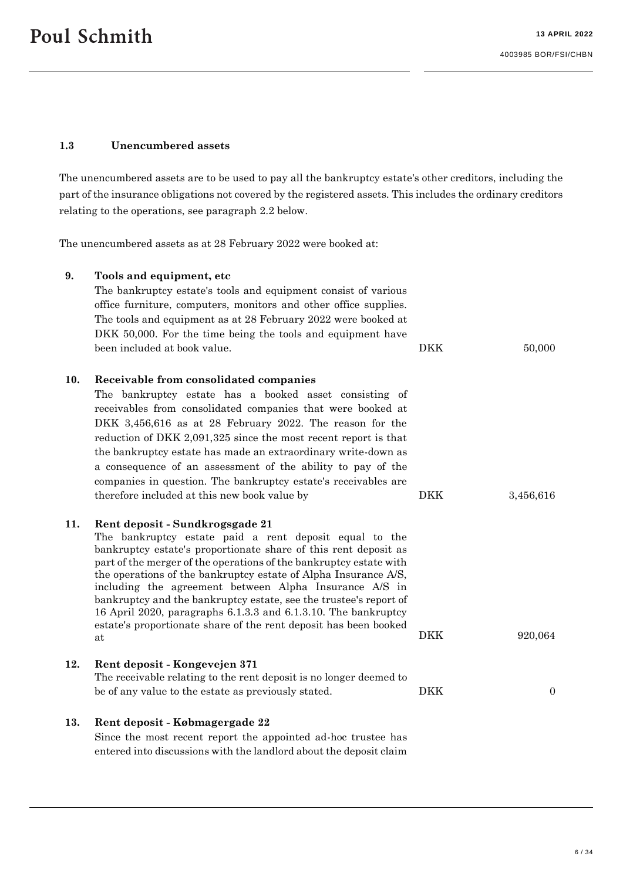# <span id="page-5-0"></span>**1.3 Unencumbered assets**

The unencumbered assets are to be used to pay all the bankruptcy estate's other creditors, including the part of the insurance obligations not covered by the registered assets. This includes the ordinary creditors relating to the operations, see paragraph 2.2 below.

The unencumbered assets as at 28 February 2022 were booked at:

| 9.  | Tools and equipment, etc<br>The bankruptcy estate's tools and equipment consist of various<br>office furniture, computers, monitors and other office supplies.<br>The tools and equipment as at 28 February 2022 were booked at<br>DKK 50,000. For the time being the tools and equipment have<br>been included at book value.                                                                                                                                                                                                                                                   | <b>DKK</b> | 50,000           |
|-----|----------------------------------------------------------------------------------------------------------------------------------------------------------------------------------------------------------------------------------------------------------------------------------------------------------------------------------------------------------------------------------------------------------------------------------------------------------------------------------------------------------------------------------------------------------------------------------|------------|------------------|
|     |                                                                                                                                                                                                                                                                                                                                                                                                                                                                                                                                                                                  |            |                  |
| 10. | Receivable from consolidated companies<br>The bankruptcy estate has a booked asset consisting of<br>receivables from consolidated companies that were booked at<br>DKK 3,456,616 as at 28 February 2022. The reason for the<br>reduction of DKK 2,091,325 since the most recent report is that<br>the bankruptcy estate has made an extraordinary write-down as<br>a consequence of an assessment of the ability to pay of the<br>companies in question. The bankruptcy estate's receivables are<br>therefore included at this new book value by                                 | <b>DKK</b> | 3,456,616        |
| 11. | Rent deposit - Sundkrogsgade 21<br>The bankruptcy estate paid a rent deposit equal to the<br>bankruptcy estate's proportionate share of this rent deposit as<br>part of the merger of the operations of the bankruptcy estate with<br>the operations of the bankruptcy estate of Alpha Insurance A/S,<br>including the agreement between Alpha Insurance A/S in<br>bankruptcy and the bankruptcy estate, see the trustee's report of<br>16 April 2020, paragraphs 6.1.3.3 and 6.1.3.10. The bankruptcy<br>estate's proportionate share of the rent deposit has been booked<br>at | <b>DKK</b> | 920,064          |
| 12. | Rent deposit - Kongevejen 371<br>The receivable relating to the rent deposit is no longer deemed to                                                                                                                                                                                                                                                                                                                                                                                                                                                                              |            |                  |
|     | be of any value to the estate as previously stated.                                                                                                                                                                                                                                                                                                                                                                                                                                                                                                                              | <b>DKK</b> | $\boldsymbol{0}$ |
| 13. | Rent deposit - Købmagergade 22<br>Since the most recent report the appointed ad-hoc trustee has<br>entered into discussions with the landlord about the deposit claim                                                                                                                                                                                                                                                                                                                                                                                                            |            |                  |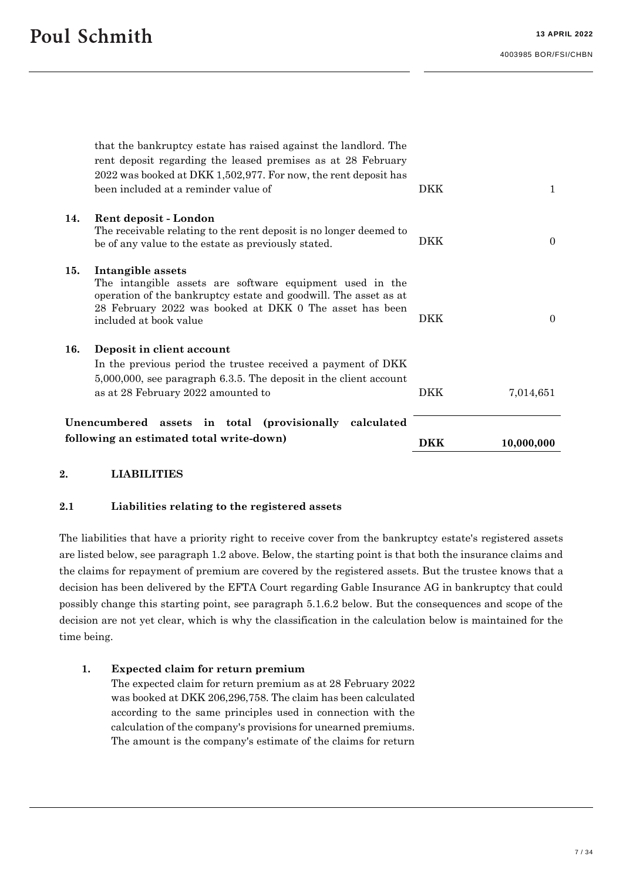|                                                        | following an estimated total write-down)                                                                                                                                                                                                   | DKK        | 10,000,000 |
|--------------------------------------------------------|--------------------------------------------------------------------------------------------------------------------------------------------------------------------------------------------------------------------------------------------|------------|------------|
| Unencumbered assets in total (provisionally calculated |                                                                                                                                                                                                                                            |            |            |
| 16.                                                    | Deposit in client account<br>In the previous period the trustee received a payment of DKK<br>$5,000,000$ , see paragraph 6.3.5. The deposit in the client account<br>as at 28 February 2022 amounted to                                    | DKK        | 7,014,651  |
| 15.                                                    | Intangible assets<br>The intangible assets are software equipment used in the<br>operation of the bankruptcy estate and goodwill. The asset as at<br>28 February 2022 was booked at DKK 0 The asset has been<br>included at book value     | <b>DKK</b> | $\Omega$   |
| 14.                                                    | Rent deposit - London<br>The receivable relating to the rent deposit is no longer deemed to<br>be of any value to the estate as previously stated.                                                                                         | <b>DKK</b> | $\Omega$   |
|                                                        | that the bankruptcy estate has raised against the landlord. The<br>rent deposit regarding the leased premises as at 28 February<br>2022 was booked at DKK 1,502,977. For now, the rent deposit has<br>been included at a reminder value of | DKK        | 1          |

#### **2. LIABILITIES**

#### <span id="page-6-0"></span>**2.1 Liabilities relating to the registered assets**

The liabilities that have a priority right to receive cover from the bankruptcy estate's registered assets are listed below, see paragraph 1.2 above. Below, the starting point is that both the insurance claims and the claims for repayment of premium are covered by the registered assets. But the trustee knows that a decision has been delivered by the EFTA Court regarding Gable Insurance AG in bankruptcy that could possibly change this starting point, see paragraph 5.1.6.2 below. But the consequences and scope of the decision are not yet clear, which is why the classification in the calculation below is maintained for the time being.

#### **1. Expected claim for return premium**

The expected claim for return premium as at 28 February 2022 was booked at DKK 206,296,758. The claim has been calculated according to the same principles used in connection with the calculation of the company's provisions for unearned premiums. The amount is the company's estimate of the claims for return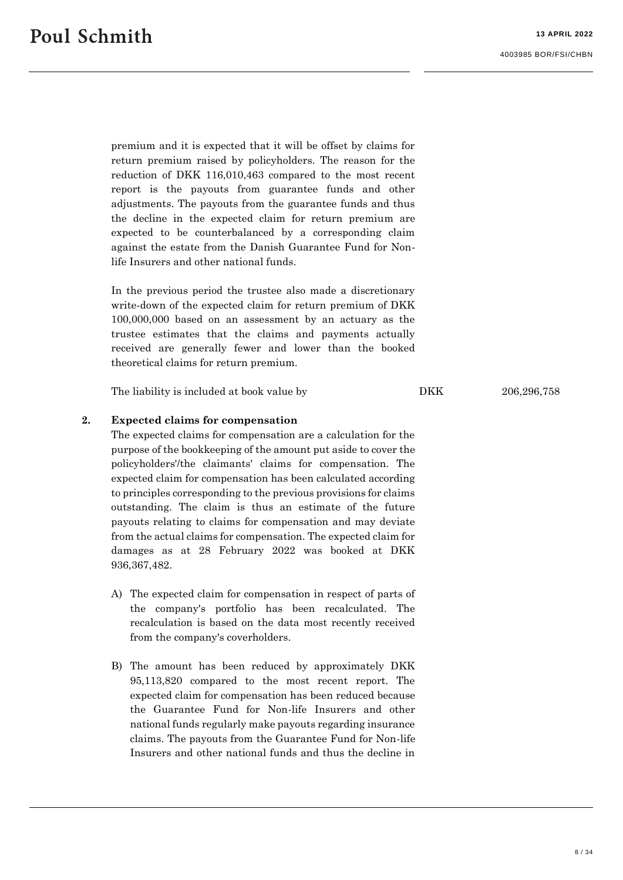premium and it is expected that it will be offset by claims for return premium raised by policyholders. The reason for the reduction of DKK 116,010,463 compared to the most recent report is the payouts from guarantee funds and other adjustments. The payouts from the guarantee funds and thus the decline in the expected claim for return premium are expected to be counterbalanced by a corresponding claim against the estate from the Danish Guarantee Fund for Nonlife Insurers and other national funds.

In the previous period the trustee also made a discretionary write-down of the expected claim for return premium of DKK 100,000,000 based on an assessment by an actuary as the trustee estimates that the claims and payments actually received are generally fewer and lower than the booked theoretical claims for return premium.

The liability is included at book value by DKK 206,296,758

#### **2. Expected claims for compensation**

The expected claims for compensation are a calculation for the purpose of the bookkeeping of the amount put aside to cover the policyholders'/the claimants' claims for compensation. The expected claim for compensation has been calculated according to principles corresponding to the previous provisions for claims outstanding. The claim is thus an estimate of the future payouts relating to claims for compensation and may deviate from the actual claims for compensation. The expected claim for damages as at 28 February 2022 was booked at DKK 936,367,482.

- A) The expected claim for compensation in respect of parts of the company's portfolio has been recalculated. The recalculation is based on the data most recently received from the company's coverholders.
- B) The amount has been reduced by approximately DKK 95,113,820 compared to the most recent report. The expected claim for compensation has been reduced because the Guarantee Fund for Non-life Insurers and other national funds regularly make payouts regarding insurance claims. The payouts from the Guarantee Fund for Non-life Insurers and other national funds and thus the decline in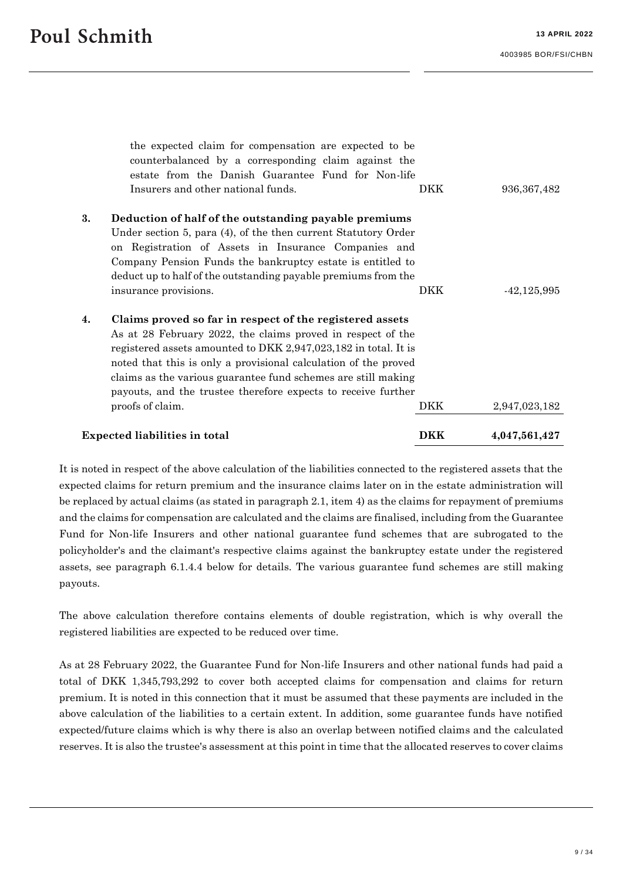|    | <b>Expected liabilities in total</b>                                                                                             | <b>DKK</b> | 4,047,561,427 |  |  |
|----|----------------------------------------------------------------------------------------------------------------------------------|------------|---------------|--|--|
|    | proofs of claim.                                                                                                                 | DKK        | 2,947,023,182 |  |  |
|    | payouts, and the trustee therefore expects to receive further                                                                    |            |               |  |  |
|    | noted that this is only a provisional calculation of the proved<br>claims as the various guarantee fund schemes are still making |            |               |  |  |
|    | registered assets amounted to DKK 2,947,023,182 in total. It is                                                                  |            |               |  |  |
|    | As at 28 February 2022, the claims proved in respect of the                                                                      |            |               |  |  |
| 4. | Claims proved so far in respect of the registered assets                                                                         |            |               |  |  |
|    | insurance provisions.                                                                                                            | DKK        | $-42,125,995$ |  |  |
|    | deduct up to half of the outstanding payable premiums from the                                                                   |            |               |  |  |
|    | on Registration of Assets in Insurance Companies and<br>Company Pension Funds the bankruptcy estate is entitled to               |            |               |  |  |
|    | Under section 5, para (4), of the then current Statutory Order                                                                   |            |               |  |  |
| 3. | Deduction of half of the outstanding payable premiums                                                                            |            |               |  |  |
|    | Insurers and other national funds.                                                                                               | DKK        | 936, 367, 482 |  |  |
|    | estate from the Danish Guarantee Fund for Non-life                                                                               |            |               |  |  |
|    | counterbalanced by a corresponding claim against the                                                                             |            |               |  |  |
|    | the expected claim for compensation are expected to be                                                                           |            |               |  |  |

It is noted in respect of the above calculation of the liabilities connected to the registered assets that the expected claims for return premium and the insurance claims later on in the estate administration will be replaced by actual claims (as stated in paragrap[h 2.1,](#page-6-0) item 4) as the claims for repayment of premiums and the claims for compensation are calculated and the claims are finalised, including from the Guarantee Fund for Non-life Insurers and other national guarantee fund schemes that are subrogated to the policyholder's and the claimant's respective claims against the bankruptcy estate under the registered assets, see paragraph [6.1.4.4](#page-18-0) below for details. The various guarantee fund schemes are still making payouts.

The above calculation therefore contains elements of double registration, which is why overall the registered liabilities are expected to be reduced over time.

As at 28 February 2022, the Guarantee Fund for Non-life Insurers and other national funds had paid a total of DKK 1,345,793,292 to cover both accepted claims for compensation and claims for return premium. It is noted in this connection that it must be assumed that these payments are included in the above calculation of the liabilities to a certain extent. In addition, some guarantee funds have notified expected/future claims which is why there is also an overlap between notified claims and the calculated reserves. It is also the trustee's assessment at this point in time that the allocated reserves to cover claims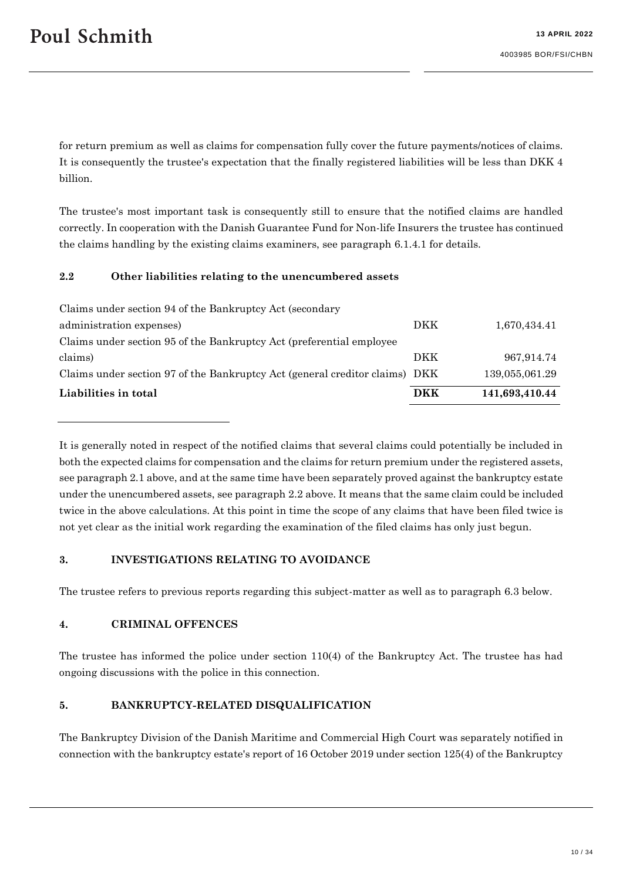for return premium as well as claims for compensation fully cover the future payments/notices of claims. It is consequently the trustee's expectation that the finally registered liabilities will be less than DKK 4 billion.

The trustee's most important task is consequently still to ensure that the notified claims are handled correctly. In cooperation with the Danish Guarantee Fund for Non-life Insurers the trustee has continued the claims handling by the existing claims examiners, see paragraph [6.1.4.1](#page-16-0) for details.

## <span id="page-9-0"></span>**2.2 Other liabilities relating to the unencumbered assets**

| Liabilities in total                                                        | DKK        | 141,693,410.44 |
|-----------------------------------------------------------------------------|------------|----------------|
| Claims under section 97 of the Bankruptcy Act (general creditor claims) DKK |            | 139,055,061.29 |
| claims)                                                                     | <b>DKK</b> | 967,914.74     |
| Claims under section 95 of the Bankruptcy Act (preferential employee)       |            |                |
| administration expenses)                                                    | <b>DKK</b> | 1,670,434.41   |
| Claims under section 94 of the Bankruptcy Act (secondary                    |            |                |

It is generally noted in respect of the notified claims that several claims could potentially be included in both the expected claims for compensation and the claims for return premium under the registered assets, see paragraph [2.1](#page-6-0) above, and at the same time have been separately proved against the bankruptcy estate under the unencumbered assets, see paragraph [2.2](#page-9-0) above. It means that the same claim could be included twice in the above calculations. At this point in time the scope of any claims that have been filed twice is not yet clear as the initial work regarding the examination of the filed claims has only just begun.

#### **3. INVESTIGATIONS RELATING TO AVOIDANCE**

The trustee refers to previous reports regarding this subject-matter as well as to paragraph [6.3](#page-27-0) below.

#### **4. CRIMINAL OFFENCES**

The trustee has informed the police under section 110(4) of the Bankruptcy Act. The trustee has had ongoing discussions with the police in this connection.

#### **5. BANKRUPTCY-RELATED DISQUALIFICATION**

The Bankruptcy Division of the Danish Maritime and Commercial High Court was separately notified in connection with the bankruptcy estate's report of 16 October 2019 under section 125(4) of the Bankruptcy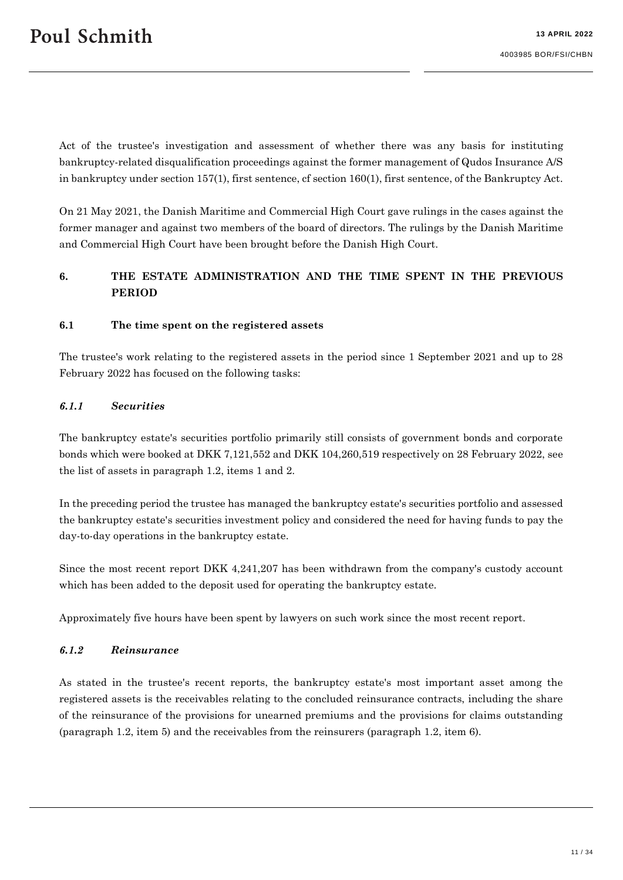Act of the trustee's investigation and assessment of whether there was any basis for instituting bankruptcy-related disqualification proceedings against the former management of Qudos Insurance A/S in bankruptcy under section 157(1), first sentence, cf section 160(1), first sentence, of the Bankruptcy Act.

On 21 May 2021, the Danish Maritime and Commercial High Court gave rulings in the cases against the former manager and against two members of the board of directors. The rulings by the Danish Maritime and Commercial High Court have been brought before the Danish High Court.

# **6. THE ESTATE ADMINISTRATION AND THE TIME SPENT IN THE PREVIOUS PERIOD**

#### <span id="page-10-1"></span>**6.1 The time spent on the registered assets**

The trustee's work relating to the registered assets in the period since 1 September 2021 and up to 28 February 2022 has focused on the following tasks:

#### *6.1.1 Securities*

The bankruptcy estate's securities portfolio primarily still consists of government bonds and corporate bonds which were booked at DKK 7,121,552 and DKK 104,260,519 respectively on 28 February 2022, see the list of assets in paragraph 1.2, items 1 and 2.

In the preceding period the trustee has managed the bankruptcy estate's securities portfolio and assessed the bankruptcy estate's securities investment policy and considered the need for having funds to pay the day-to-day operations in the bankruptcy estate.

Since the most recent report DKK 4,241,207 has been withdrawn from the company's custody account which has been added to the deposit used for operating the bankruptcy estate.

Approximately five hours have been spent by lawyers on such work since the most recent report.

#### <span id="page-10-0"></span>*6.1.2 Reinsurance*

As stated in the trustee's recent reports, the bankruptcy estate's most important asset among the registered assets is the receivables relating to the concluded reinsurance contracts, including the share of the reinsurance of the provisions for unearned premiums and the provisions for claims outstanding (paragraph 1.2, item 5) and the receivables from the reinsurers (paragraph 1.2, item 6).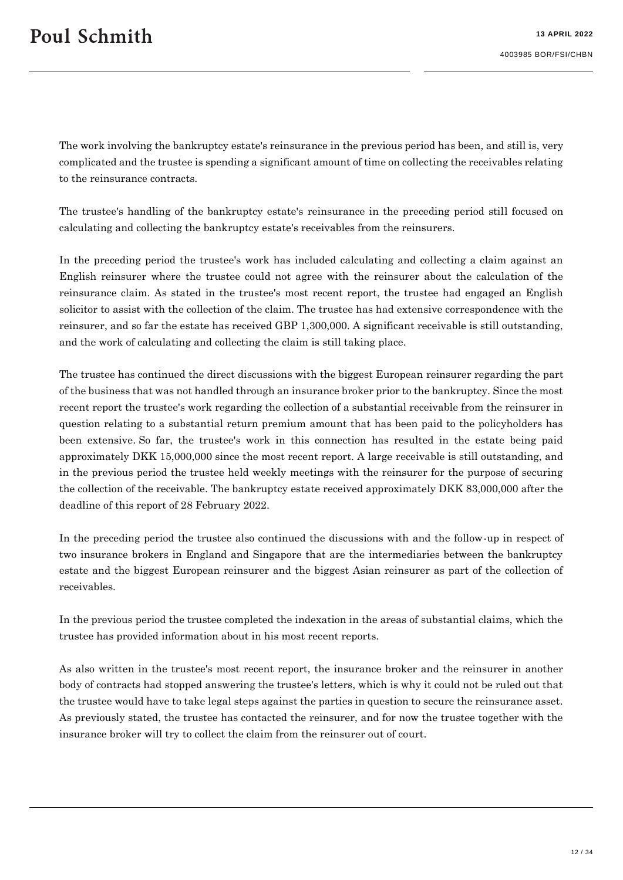The work involving the bankruptcy estate's reinsurance in the previous period has been, and still is, very complicated and the trustee is spending a significant amount of time on collecting the receivables relating to the reinsurance contracts.

The trustee's handling of the bankruptcy estate's reinsurance in the preceding period still focused on calculating and collecting the bankruptcy estate's receivables from the reinsurers.

In the preceding period the trustee's work has included calculating and collecting a claim against an English reinsurer where the trustee could not agree with the reinsurer about the calculation of the reinsurance claim. As stated in the trustee's most recent report, the trustee had engaged an English solicitor to assist with the collection of the claim. The trustee has had extensive correspondence with the reinsurer, and so far the estate has received GBP 1,300,000. A significant receivable is still outstanding, and the work of calculating and collecting the claim is still taking place.

The trustee has continued the direct discussions with the biggest European reinsurer regarding the part of the business that was not handled through an insurance broker prior to the bankruptcy. Since the most recent report the trustee's work regarding the collection of a substantial receivable from the reinsurer in question relating to a substantial return premium amount that has been paid to the policyholders has been extensive. So far, the trustee's work in this connection has resulted in the estate being paid approximately DKK 15,000,000 since the most recent report. A large receivable is still outstanding, and in the previous period the trustee held weekly meetings with the reinsurer for the purpose of securing the collection of the receivable. The bankruptcy estate received approximately DKK 83,000,000 after the deadline of this report of 28 February 2022.

In the preceding period the trustee also continued the discussions with and the follow-up in respect of two insurance brokers in England and Singapore that are the intermediaries between the bankruptcy estate and the biggest European reinsurer and the biggest Asian reinsurer as part of the collection of receivables.

In the previous period the trustee completed the indexation in the areas of substantial claims, which the trustee has provided information about in his most recent reports.

As also written in the trustee's most recent report, the insurance broker and the reinsurer in another body of contracts had stopped answering the trustee's letters, which is why it could not be ruled out that the trustee would have to take legal steps against the parties in question to secure the reinsurance asset. As previously stated, the trustee has contacted the reinsurer, and for now the trustee together with the insurance broker will try to collect the claim from the reinsurer out of court.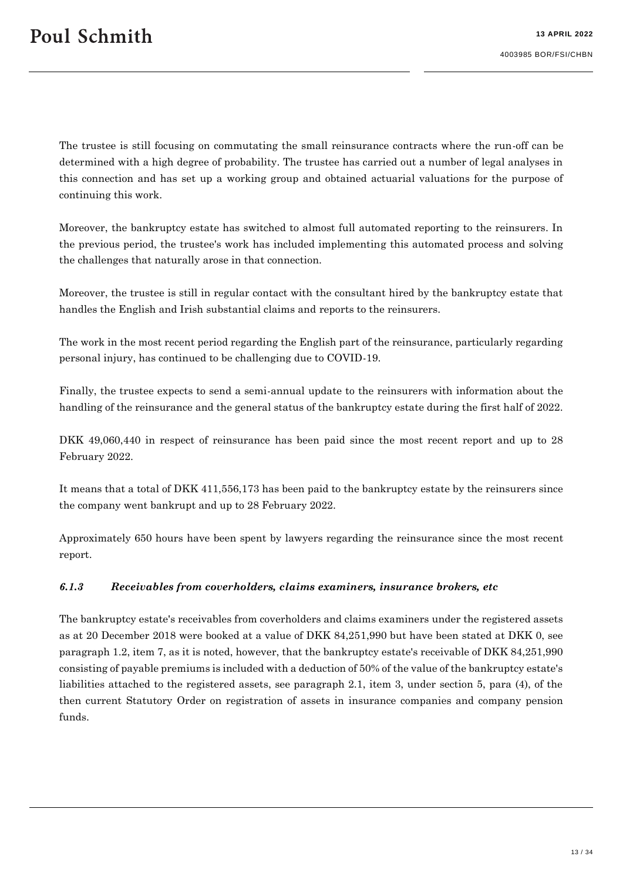The trustee is still focusing on commutating the small reinsurance contracts where the run-off can be determined with a high degree of probability. The trustee has carried out a number of legal analyses in this connection and has set up a working group and obtained actuarial valuations for the purpose of continuing this work.

Moreover, the bankruptcy estate has switched to almost full automated reporting to the reinsurers. In the previous period, the trustee's work has included implementing this automated process and solving the challenges that naturally arose in that connection.

Moreover, the trustee is still in regular contact with the consultant hired by the bankruptcy estate that handles the English and Irish substantial claims and reports to the reinsurers.

The work in the most recent period regarding the English part of the reinsurance, particularly regarding personal injury, has continued to be challenging due to COVID-19.

Finally, the trustee expects to send a semi-annual update to the reinsurers with information about the handling of the reinsurance and the general status of the bankruptcy estate during the first half of 2022.

DKK 49,060,440 in respect of reinsurance has been paid since the most recent report and up to 28 February 2022.

It means that a total of DKK 411,556,173 has been paid to the bankruptcy estate by the reinsurers since the company went bankrupt and up to 28 February 2022.

Approximately 650 hours have been spent by lawyers regarding the reinsurance since the most recent report.

#### <span id="page-12-0"></span>*6.1.3 Receivables from coverholders, claims examiners, insurance brokers, etc*

The bankruptcy estate's receivables from coverholders and claims examiners under the registered assets as at 20 December 2018 were booked at a value of DKK 84,251,990 but have been stated at DKK 0, see paragraph 1.2, item 7, as it is noted, however, that the bankruptcy estate's receivable of DKK 84,251,990 consisting of payable premiums is included with a deduction of 50% of the value of the bankruptcy estate's liabilities attached to the registered assets, see paragraph 2.1, item 3, under section 5, para (4), of the then current Statutory Order on registration of assets in insurance companies and company pension funds.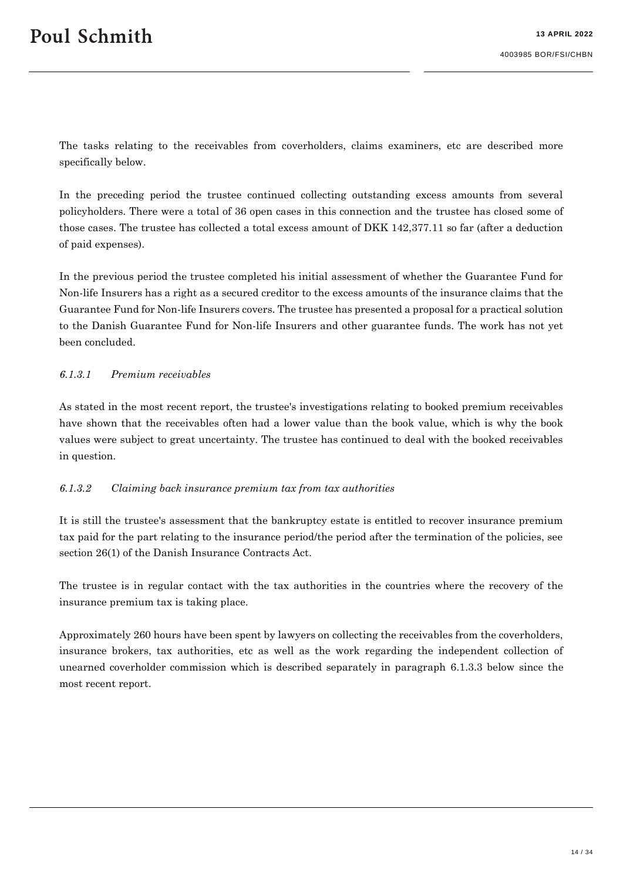The tasks relating to the receivables from coverholders, claims examiners, etc are described more specifically below.

In the preceding period the trustee continued collecting outstanding excess amounts from several policyholders. There were a total of 36 open cases in this connection and the trustee has closed some of those cases. The trustee has collected a total excess amount of DKK 142,377.11 so far (after a deduction of paid expenses).

In the previous period the trustee completed his initial assessment of whether the Guarantee Fund for Non-life Insurers has a right as a secured creditor to the excess amounts of the insurance claims that the Guarantee Fund for Non-life Insurers covers. The trustee has presented a proposal for a practical solution to the Danish Guarantee Fund for Non-life Insurers and other guarantee funds. The work has not yet been concluded.

#### *6.1.3.1 Premium receivables*

As stated in the most recent report, the trustee's investigations relating to booked premium receivables have shown that the receivables often had a lower value than the book value, which is why the book values were subject to great uncertainty. The trustee has continued to deal with the booked receivables in question.

#### *6.1.3.2 Claiming back insurance premium tax from tax authorities*

It is still the trustee's assessment that the bankruptcy estate is entitled to recover insurance premium tax paid for the part relating to the insurance period/the period after the termination of the policies, see section 26(1) of the Danish Insurance Contracts Act.

The trustee is in regular contact with the tax authorities in the countries where the recovery of the insurance premium tax is taking place.

Approximately 260 hours have been spent by lawyers on collecting the receivables from the coverholders, insurance brokers, tax authorities, etc as well as the work regarding the independent collection of unearned coverholder commission which is described separately in paragraph [6.1.3.3](#page-14-0) below since the most recent report.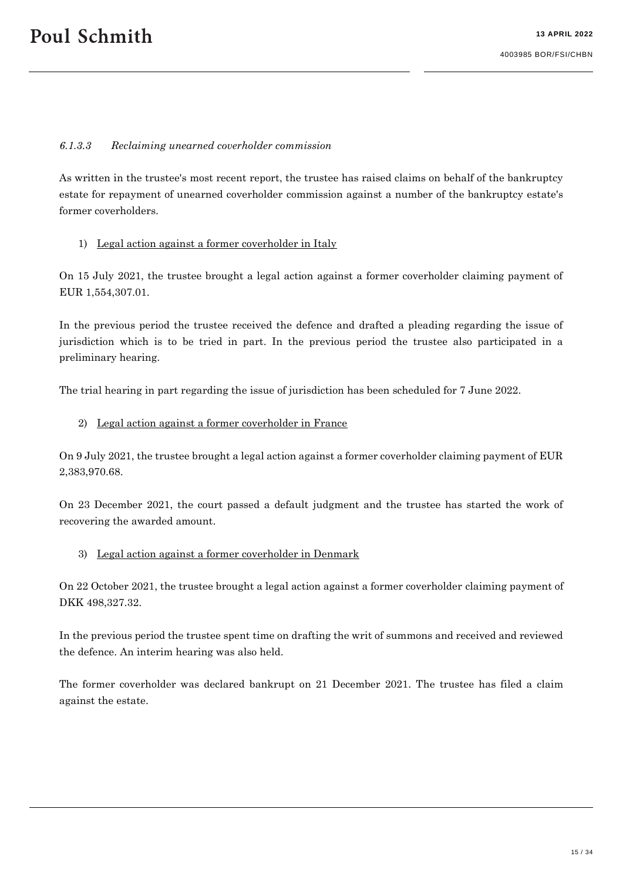#### <span id="page-14-0"></span>*6.1.3.3 Reclaiming unearned coverholder commission*

As written in the trustee's most recent report, the trustee has raised claims on behalf of the bankruptcy estate for repayment of unearned coverholder commission against a number of the bankruptcy estate's former coverholders.

#### 1) Legal action against a former coverholder in Italy

On 15 July 2021, the trustee brought a legal action against a former coverholder claiming payment of EUR 1,554,307.01.

In the previous period the trustee received the defence and drafted a pleading regarding the issue of jurisdiction which is to be tried in part. In the previous period the trustee also participated in a preliminary hearing.

The trial hearing in part regarding the issue of jurisdiction has been scheduled for 7 June 2022.

#### 2) Legal action against a former coverholder in France

On 9 July 2021, the trustee brought a legal action against a former coverholder claiming payment of EUR 2,383,970.68.

On 23 December 2021, the court passed a default judgment and the trustee has started the work of recovering the awarded amount.

#### 3) Legal action against a former coverholder in Denmark

On 22 October 2021, the trustee brought a legal action against a former coverholder claiming payment of DKK 498,327.32.

In the previous period the trustee spent time on drafting the writ of summons and received and reviewed the defence. An interim hearing was also held.

The former coverholder was declared bankrupt on 21 December 2021. The trustee has filed a claim against the estate.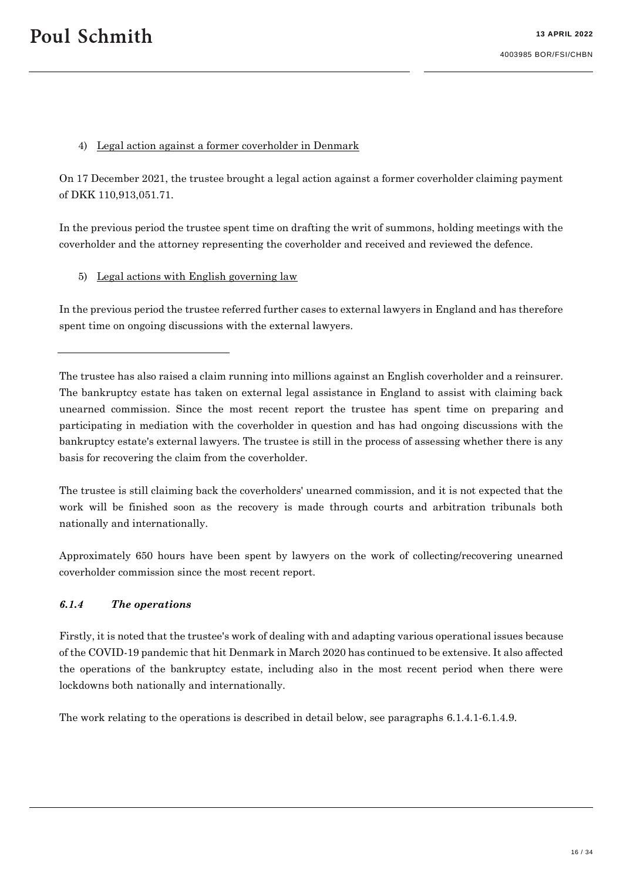#### 4) Legal action against a former coverholder in Denmark

On 17 December 2021, the trustee brought a legal action against a former coverholder claiming payment of DKK 110,913,051.71.

In the previous period the trustee spent time on drafting the writ of summons, holding meetings with the coverholder and the attorney representing the coverholder and received and reviewed the defence.

5) Legal actions with English governing law

In the previous period the trustee referred further cases to external lawyers in England and has therefore spent time on ongoing discussions with the external lawyers.

The trustee is still claiming back the coverholders' unearned commission, and it is not expected that the work will be finished soon as the recovery is made through courts and arbitration tribunals both nationally and internationally.

Approximately 650 hours have been spent by lawyers on the work of collecting/recovering unearned coverholder commission since the most recent report.

#### *6.1.4 The operations*

Firstly, it is noted that the trustee's work of dealing with and adapting various operational issues because of the COVID-19 pandemic that hit Denmark in March 2020 has continued to be extensive. It also affected the operations of the bankruptcy estate, including also in the most recent period when there were lockdowns both nationally and internationally.

The work relating to the operations is described in detail below, see paragraphs [6.1.4.1-](#page-16-0)[6.1.4.9.](#page-23-0)

The trustee has also raised a claim running into millions against an English coverholder and a reinsurer. The bankruptcy estate has taken on external legal assistance in England to assist with claiming back unearned commission. Since the most recent report the trustee has spent time on preparing and participating in mediation with the coverholder in question and has had ongoing discussions with the bankruptcy estate's external lawyers. The trustee is still in the process of assessing whether there is any basis for recovering the claim from the coverholder.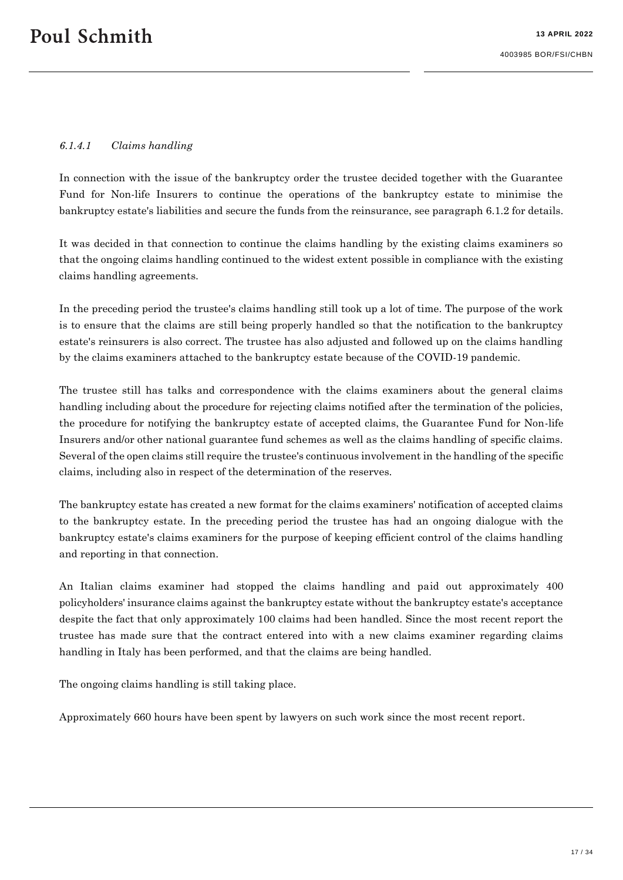#### <span id="page-16-0"></span>*6.1.4.1 Claims handling*

In connection with the issue of the bankruptcy order the trustee decided together with the Guarantee Fund for Non-life Insurers to continue the operations of the bankruptcy estate to minimise the bankruptcy estate's liabilities and secure the funds from the reinsurance, see paragraph [6.1.2](#page-10-0) for details.

It was decided in that connection to continue the claims handling by the existing claims examiners so that the ongoing claims handling continued to the widest extent possible in compliance with the existing claims handling agreements.

In the preceding period the trustee's claims handling still took up a lot of time. The purpose of the work is to ensure that the claims are still being properly handled so that the notification to the bankruptcy estate's reinsurers is also correct. The trustee has also adjusted and followed up on the claims handling by the claims examiners attached to the bankruptcy estate because of the COVID-19 pandemic.

The trustee still has talks and correspondence with the claims examiners about the general claims handling including about the procedure for rejecting claims notified after the termination of the policies, the procedure for notifying the bankruptcy estate of accepted claims, the Guarantee Fund for Non-life Insurers and/or other national guarantee fund schemes as well as the claims handling of specific claims. Several of the open claims still require the trustee's continuous involvement in the handling of the specific claims, including also in respect of the determination of the reserves.

The bankruptcy estate has created a new format for the claims examiners' notification of accepted claims to the bankruptcy estate. In the preceding period the trustee has had an ongoing dialogue with the bankruptcy estate's claims examiners for the purpose of keeping efficient control of the claims handling and reporting in that connection.

An Italian claims examiner had stopped the claims handling and paid out approximately 400 policyholders' insurance claims against the bankruptcy estate without the bankruptcy estate's acceptance despite the fact that only approximately 100 claims had been handled. Since the most recent report the trustee has made sure that the contract entered into with a new claims examiner regarding claims handling in Italy has been performed, and that the claims are being handled.

The ongoing claims handling is still taking place.

Approximately 660 hours have been spent by lawyers on such work since the most recent report.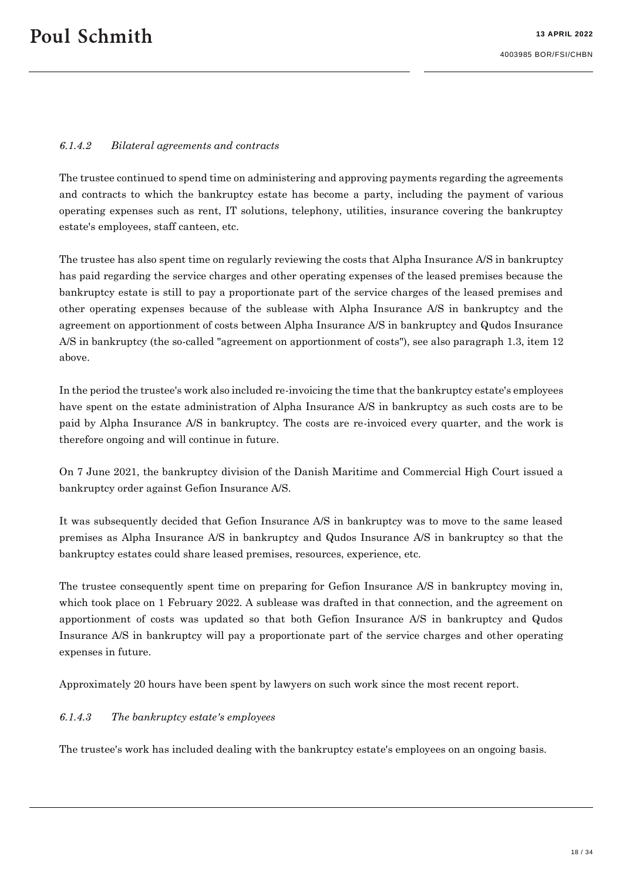#### *6.1.4.2 Bilateral agreements and contracts*

The trustee continued to spend time on administering and approving payments regarding the agreements and contracts to which the bankruptcy estate has become a party, including the payment of various operating expenses such as rent, IT solutions, telephony, utilities, insurance covering the bankruptcy estate's employees, staff canteen, etc.

The trustee has also spent time on regularly reviewing the costs that Alpha Insurance A/S in bankruptcy has paid regarding the service charges and other operating expenses of the leased premises because the bankruptcy estate is still to pay a proportionate part of the service charges of the leased premises and other operating expenses because of the sublease with Alpha Insurance A/S in bankruptcy and the agreement on apportionment of costs between Alpha Insurance A/S in bankruptcy and Qudos Insurance A/S in bankruptcy (the so-called "agreement on apportionment of costs"), see also paragraph [1.3,](#page-5-0) item 12 above.

In the period the trustee's work also included re-invoicing the time that the bankruptcy estate's employees have spent on the estate administration of Alpha Insurance A/S in bankruptcy as such costs are to be paid by Alpha Insurance A/S in bankruptcy. The costs are re-invoiced every quarter, and the work is therefore ongoing and will continue in future.

On 7 June 2021, the bankruptcy division of the Danish Maritime and Commercial High Court issued a bankruptcy order against Gefion Insurance A/S.

It was subsequently decided that Gefion Insurance A/S in bankruptcy was to move to the same leased premises as Alpha Insurance A/S in bankruptcy and Qudos Insurance A/S in bankruptcy so that the bankruptcy estates could share leased premises, resources, experience, etc.

The trustee consequently spent time on preparing for Gefion Insurance A/S in bankruptcy moving in, which took place on 1 February 2022. A sublease was drafted in that connection, and the agreement on apportionment of costs was updated so that both Gefion Insurance A/S in bankruptcy and Qudos Insurance A/S in bankruptcy will pay a proportionate part of the service charges and other operating expenses in future.

Approximately 20 hours have been spent by lawyers on such work since the most recent report.

#### *6.1.4.3 The bankruptcy estate's employees*

The trustee's work has included dealing with the bankruptcy estate's employees on an ongoing basis.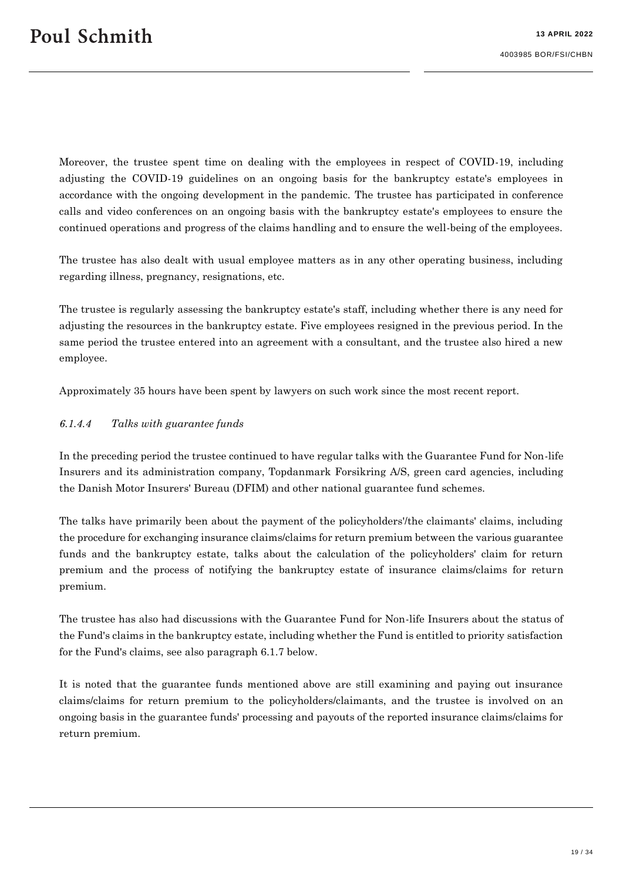Moreover, the trustee spent time on dealing with the employees in respect of COVID-19, including adjusting the COVID-19 guidelines on an ongoing basis for the bankruptcy estate's employees in accordance with the ongoing development in the pandemic. The trustee has participated in conference calls and video conferences on an ongoing basis with the bankruptcy estate's employees to ensure the continued operations and progress of the claims handling and to ensure the well-being of the employees.

The trustee has also dealt with usual employee matters as in any other operating business, including regarding illness, pregnancy, resignations, etc.

The trustee is regularly assessing the bankruptcy estate's staff, including whether there is any need for adjusting the resources in the bankruptcy estate. Five employees resigned in the previous period. In the same period the trustee entered into an agreement with a consultant, and the trustee also hired a new employee.

Approximately 35 hours have been spent by lawyers on such work since the most recent report.

#### <span id="page-18-0"></span>*6.1.4.4 Talks with guarantee funds*

In the preceding period the trustee continued to have regular talks with the Guarantee Fund for Non-life Insurers and its administration company, Topdanmark Forsikring A/S, green card agencies, including the Danish Motor Insurers' Bureau (DFIM) and other national guarantee fund schemes.

The talks have primarily been about the payment of the policyholders'/the claimants' claims, including the procedure for exchanging insurance claims/claims for return premium between the various guarantee funds and the bankruptcy estate, talks about the calculation of the policyholders' claim for return premium and the process of notifying the bankruptcy estate of insurance claims/claims for return premium.

The trustee has also had discussions with the Guarantee Fund for Non-life Insurers about the status of the Fund's claims in the bankruptcy estate, including whether the Fund is entitled to priority satisfaction for the Fund's claims, see also paragraph [6.1.7](#page-26-0) below.

It is noted that the guarantee funds mentioned above are still examining and paying out insurance claims/claims for return premium to the policyholders/claimants, and the trustee is involved on an ongoing basis in the guarantee funds' processing and payouts of the reported insurance claims/claims for return premium.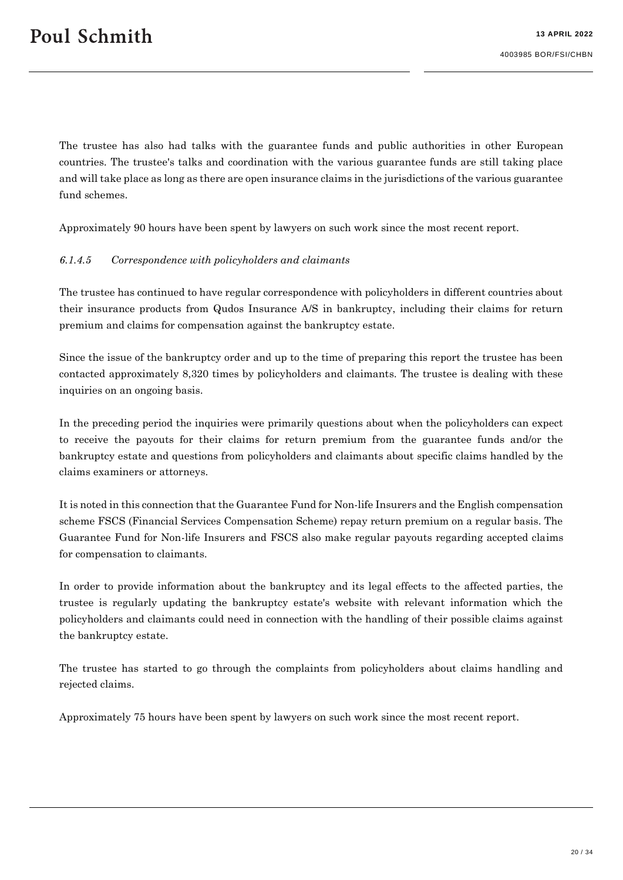The trustee has also had talks with the guarantee funds and public authorities in other European countries. The trustee's talks and coordination with the various guarantee funds are still taking place and will take place as long as there are open insurance claims in the jurisdictions of the various guarantee fund schemes.

Approximately 90 hours have been spent by lawyers on such work since the most recent report.

#### *6.1.4.5 Correspondence with policyholders and claimants*

The trustee has continued to have regular correspondence with policyholders in different countries about their insurance products from Qudos Insurance A/S in bankruptcy, including their claims for return premium and claims for compensation against the bankruptcy estate.

Since the issue of the bankruptcy order and up to the time of preparing this report the trustee has been contacted approximately 8,320 times by policyholders and claimants. The trustee is dealing with these inquiries on an ongoing basis.

In the preceding period the inquiries were primarily questions about when the policyholders can expect to receive the payouts for their claims for return premium from the guarantee funds and/or the bankruptcy estate and questions from policyholders and claimants about specific claims handled by the claims examiners or attorneys.

It is noted in this connection that the Guarantee Fund for Non-life Insurers and the English compensation scheme FSCS (Financial Services Compensation Scheme) repay return premium on a regular basis. The Guarantee Fund for Non-life Insurers and FSCS also make regular payouts regarding accepted claims for compensation to claimants.

In order to provide information about the bankruptcy and its legal effects to the affected parties, the trustee is regularly updating the bankruptcy estate's website with relevant information which the policyholders and claimants could need in connection with the handling of their possible claims against the bankruptcy estate.

The trustee has started to go through the complaints from policyholders about claims handling and rejected claims.

Approximately 75 hours have been spent by lawyers on such work since the most recent report.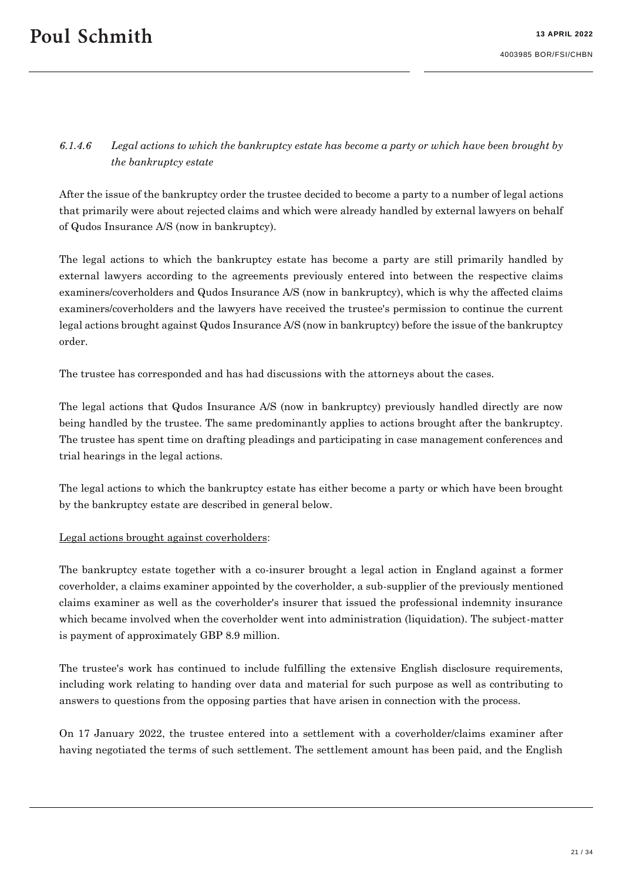# *6.1.4.6 Legal actions to which the bankruptcy estate has become a party or which have been brought by the bankruptcy estate*

After the issue of the bankruptcy order the trustee decided to become a party to a number of legal actions that primarily were about rejected claims and which were already handled by external lawyers on behalf of Qudos Insurance A/S (now in bankruptcy).

The legal actions to which the bankruptcy estate has become a party are still primarily handled by external lawyers according to the agreements previously entered into between the respective claims examiners/coverholders and Qudos Insurance A/S (now in bankruptcy), which is why the affected claims examiners/coverholders and the lawyers have received the trustee's permission to continue the current legal actions brought against Qudos Insurance A/S (now in bankruptcy) before the issue of the bankruptcy order.

The trustee has corresponded and has had discussions with the attorneys about the cases.

The legal actions that Qudos Insurance A/S (now in bankruptcy) previously handled directly are now being handled by the trustee. The same predominantly applies to actions brought after the bankruptcy. The trustee has spent time on drafting pleadings and participating in case management conferences and trial hearings in the legal actions.

The legal actions to which the bankruptcy estate has either become a party or which have been brought by the bankruptcy estate are described in general below.

#### Legal actions brought against coverholders:

The bankruptcy estate together with a co-insurer brought a legal action in England against a former coverholder, a claims examiner appointed by the coverholder, a sub-supplier of the previously mentioned claims examiner as well as the coverholder's insurer that issued the professional indemnity insurance which became involved when the coverholder went into administration (liquidation). The subject-matter is payment of approximately GBP 8.9 million.

The trustee's work has continued to include fulfilling the extensive English disclosure requirements, including work relating to handing over data and material for such purpose as well as contributing to answers to questions from the opposing parties that have arisen in connection with the process.

On 17 January 2022, the trustee entered into a settlement with a coverholder/claims examiner after having negotiated the terms of such settlement. The settlement amount has been paid, and the English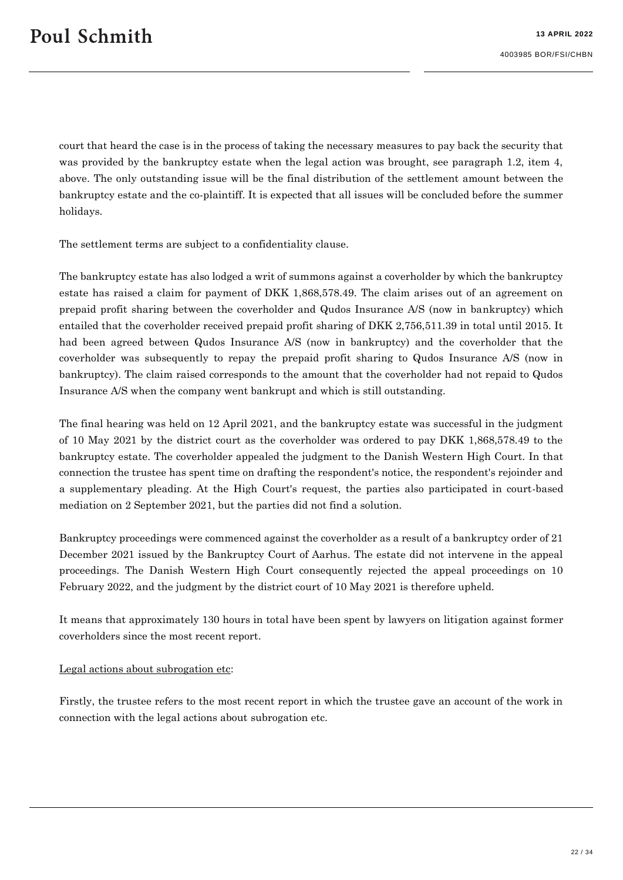court that heard the case is in the process of taking the necessary measures to pay back the security that was provided by the bankruptcy estate when the legal action was brought, see paragraph 1.2, item 4, above. The only outstanding issue will be the final distribution of the settlement amount between the bankruptcy estate and the co-plaintiff. It is expected that all issues will be concluded before the summer holidays.

The settlement terms are subject to a confidentiality clause.

The bankruptcy estate has also lodged a writ of summons against a coverholder by which the bankruptcy estate has raised a claim for payment of DKK 1,868,578.49. The claim arises out of an agreement on prepaid profit sharing between the coverholder and Qudos Insurance A/S (now in bankruptcy) which entailed that the coverholder received prepaid profit sharing of DKK 2,756,511.39 in total until 2015. It had been agreed between Qudos Insurance A/S (now in bankruptcy) and the coverholder that the coverholder was subsequently to repay the prepaid profit sharing to Qudos Insurance A/S (now in bankruptcy). The claim raised corresponds to the amount that the coverholder had not repaid to Qudos Insurance A/S when the company went bankrupt and which is still outstanding.

The final hearing was held on 12 April 2021, and the bankruptcy estate was successful in the judgment of 10 May 2021 by the district court as the coverholder was ordered to pay DKK 1,868,578.49 to the bankruptcy estate. The coverholder appealed the judgment to the Danish Western High Court. In that connection the trustee has spent time on drafting the respondent's notice, the respondent's rejoinder and a supplementary pleading. At the High Court's request, the parties also participated in court-based mediation on 2 September 2021, but the parties did not find a solution.

Bankruptcy proceedings were commenced against the coverholder as a result of a bankruptcy order of 21 December 2021 issued by the Bankruptcy Court of Aarhus. The estate did not intervene in the appeal proceedings. The Danish Western High Court consequently rejected the appeal proceedings on 10 February 2022, and the judgment by the district court of 10 May 2021 is therefore upheld.

It means that approximately 130 hours in total have been spent by lawyers on litigation against former coverholders since the most recent report.

#### Legal actions about subrogation etc:

Firstly, the trustee refers to the most recent report in which the trustee gave an account of the work in connection with the legal actions about subrogation etc.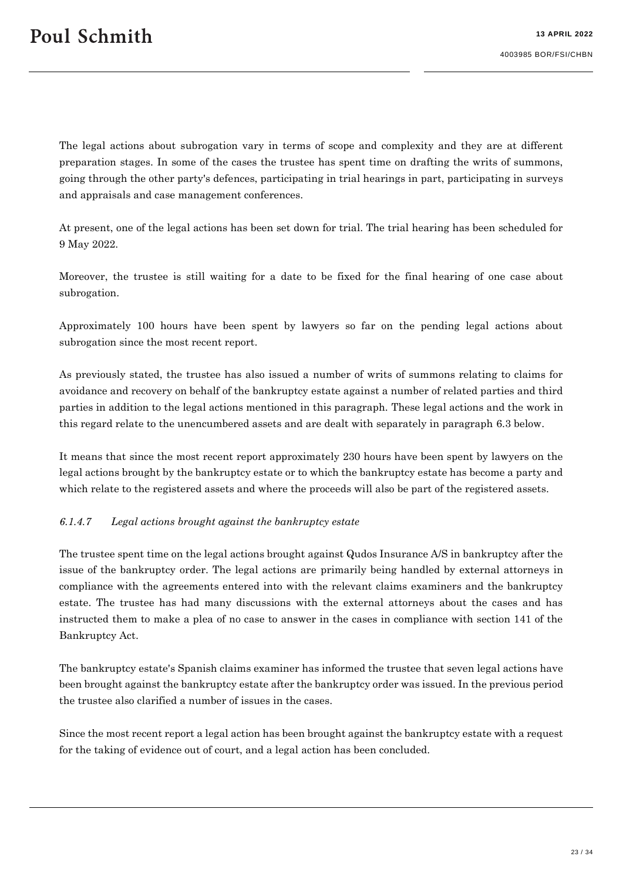The legal actions about subrogation vary in terms of scope and complexity and they are at different preparation stages. In some of the cases the trustee has spent time on drafting the writs of summons, going through the other party's defences, participating in trial hearings in part, participating in surveys and appraisals and case management conferences.

At present, one of the legal actions has been set down for trial. The trial hearing has been scheduled for 9 May 2022.

Moreover, the trustee is still waiting for a date to be fixed for the final hearing of one case about subrogation.

Approximately 100 hours have been spent by lawyers so far on the pending legal actions about subrogation since the most recent report.

As previously stated, the trustee has also issued a number of writs of summons relating to claims for avoidance and recovery on behalf of the bankruptcy estate against a number of related parties and third parties in addition to the legal actions mentioned in this paragraph. These legal actions and the work in this regard relate to the unencumbered assets and are dealt with separately in paragraph [6.3](#page-27-0) below.

It means that since the most recent report approximately 230 hours have been spent by lawyers on the legal actions brought by the bankruptcy estate or to which the bankruptcy estate has become a party and which relate to the registered assets and where the proceeds will also be part of the registered assets.

#### *6.1.4.7 Legal actions brought against the bankruptcy estate*

The trustee spent time on the legal actions brought against Qudos Insurance A/S in bankruptcy after the issue of the bankruptcy order. The legal actions are primarily being handled by external attorneys in compliance with the agreements entered into with the relevant claims examiners and the bankruptcy estate. The trustee has had many discussions with the external attorneys about the cases and has instructed them to make a plea of no case to answer in the cases in compliance with section 141 of the Bankruptcy Act.

The bankruptcy estate's Spanish claims examiner has informed the trustee that seven legal actions have been brought against the bankruptcy estate after the bankruptcy order was issued. In the previous period the trustee also clarified a number of issues in the cases.

Since the most recent report a legal action has been brought against the bankruptcy estate with a request for the taking of evidence out of court, and a legal action has been concluded.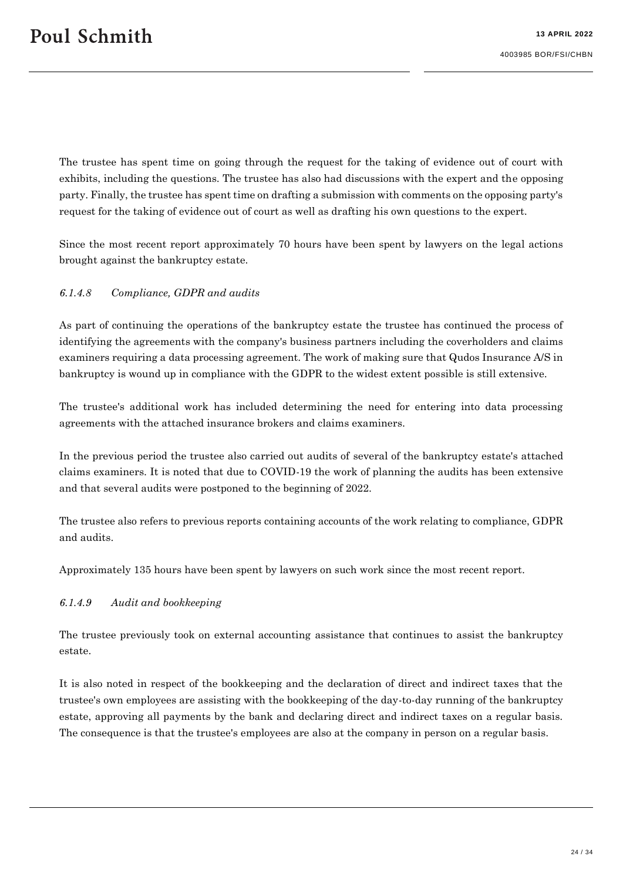The trustee has spent time on going through the request for the taking of evidence out of court with exhibits, including the questions. The trustee has also had discussions with the expert and the opposing party. Finally, the trustee has spent time on drafting a submission with comments on the opposing party's request for the taking of evidence out of court as well as drafting his own questions to the expert.

Since the most recent report approximately 70 hours have been spent by lawyers on the legal actions brought against the bankruptcy estate.

#### *6.1.4.8 Compliance, GDPR and audits*

As part of continuing the operations of the bankruptcy estate the trustee has continued the process of identifying the agreements with the company's business partners including the coverholders and claims examiners requiring a data processing agreement. The work of making sure that Qudos Insurance A/S in bankruptcy is wound up in compliance with the GDPR to the widest extent possible is still extensive.

The trustee's additional work has included determining the need for entering into data processing agreements with the attached insurance brokers and claims examiners.

In the previous period the trustee also carried out audits of several of the bankruptcy estate's attached claims examiners. It is noted that due to COVID-19 the work of planning the audits has been extensive and that several audits were postponed to the beginning of 2022.

The trustee also refers to previous reports containing accounts of the work relating to compliance, GDPR and audits.

Approximately 135 hours have been spent by lawyers on such work since the most recent report.

#### <span id="page-23-0"></span>*6.1.4.9 Audit and bookkeeping*

The trustee previously took on external accounting assistance that continues to assist the bankruptcy estate.

It is also noted in respect of the bookkeeping and the declaration of direct and indirect taxes that the trustee's own employees are assisting with the bookkeeping of the day-to-day running of the bankruptcy estate, approving all payments by the bank and declaring direct and indirect taxes on a regular basis. The consequence is that the trustee's employees are also at the company in person on a regular basis.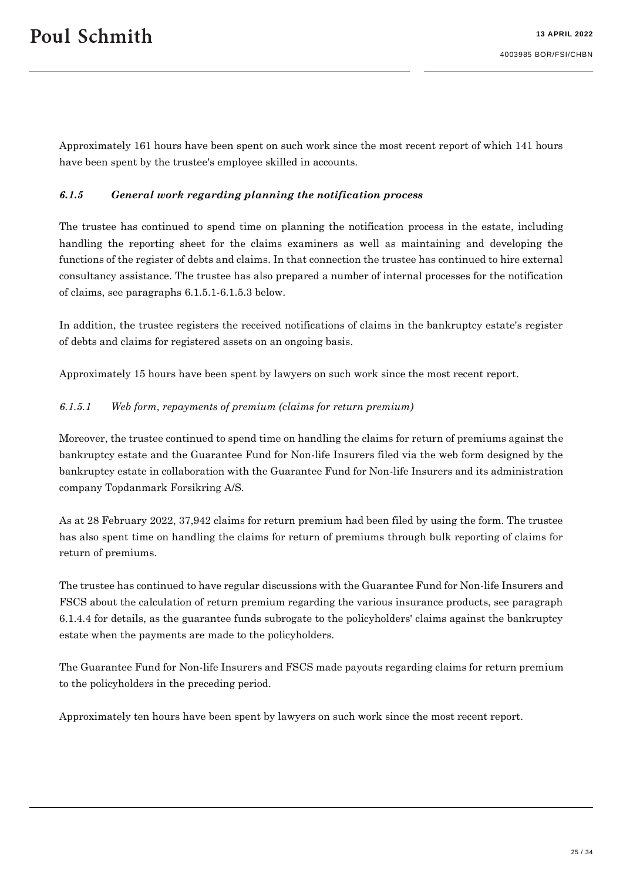Approximately 161 hours have been spent on such work since the most recent report of which 141 hours have been spent by the trustee's employee skilled in accounts.

#### *6.1.5 General work regarding planning the notification process*

The trustee has continued to spend time on planning the notification process in the estate, including handling the reporting sheet for the claims examiners as well as maintaining and developing the functions of the register of debts and claims. In that connection the trustee has continued to hire external consultancy assistance. The trustee has also prepared a number of internal processes for the notification of claims, see paragraphs [6.1.5.1](#page-24-0)[-6.1.5.3](#page-25-0) below.

In addition, the trustee registers the received notifications of claims in the bankruptcy estate's register of debts and claims for registered assets on an ongoing basis.

Approximately 15 hours have been spent by lawyers on such work since the most recent report.

#### <span id="page-24-0"></span>*6.1.5.1 Web form, repayments of premium (claims for return premium)*

Moreover, the trustee continued to spend time on handling the claims for return of premiums against the bankruptcy estate and the Guarantee Fund for Non-life Insurers filed via the web form designed by the bankruptcy estate in collaboration with the Guarantee Fund for Non-life Insurers and its administration company Topdanmark Forsikring A/S.

As at 28 February 2022, 37,942 claims for return premium had been filed by using the form. The trustee has also spent time on handling the claims for return of premiums through bulk reporting of claims for return of premiums.

The trustee has continued to have regular discussions with the Guarantee Fund for Non-life Insurers and FSCS about the calculation of return premium regarding the various insurance products, see paragraph [6.1.4.4](#page-18-0) for details, as the guarantee funds subrogate to the policyholders' claims against the bankruptcy estate when the payments are made to the policyholders.

The Guarantee Fund for Non-life Insurers and FSCS made payouts regarding claims for return premium to the policyholders in the preceding period.

Approximately ten hours have been spent by lawyers on such work since the most recent report.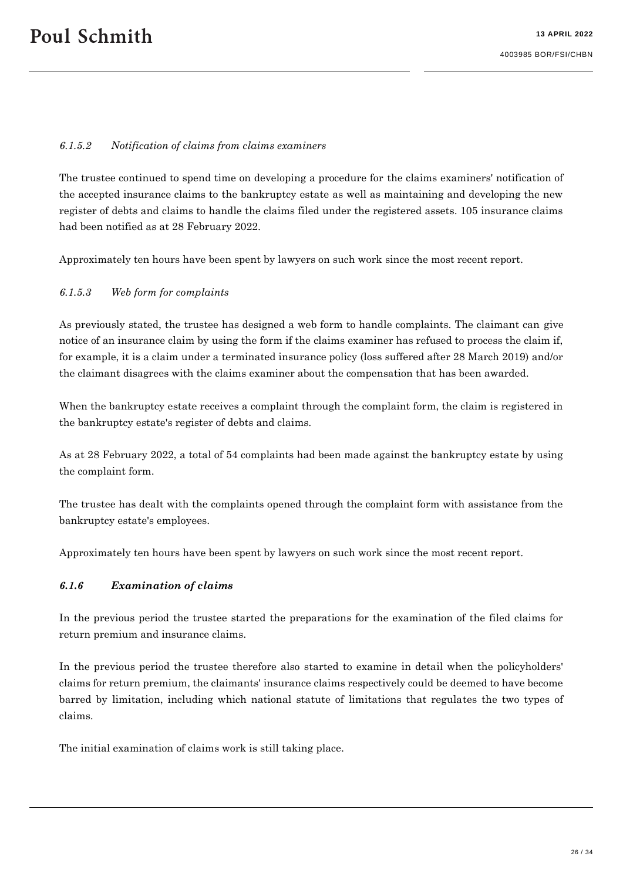#### *6.1.5.2 Notification of claims from claims examiners*

The trustee continued to spend time on developing a procedure for the claims examiners' notification of the accepted insurance claims to the bankruptcy estate as well as maintaining and developing the new register of debts and claims to handle the claims filed under the registered assets. 105 insurance claims had been notified as at 28 February 2022.

Approximately ten hours have been spent by lawyers on such work since the most recent report.

#### <span id="page-25-0"></span>*6.1.5.3 Web form for complaints*

As previously stated, the trustee has designed a web form to handle complaints. The claimant can give notice of an insurance claim by using the form if the claims examiner has refused to process the claim if, for example, it is a claim under a terminated insurance policy (loss suffered after 28 March 2019) and/or the claimant disagrees with the claims examiner about the compensation that has been awarded.

When the bankruptcy estate receives a complaint through the complaint form, the claim is registered in the bankruptcy estate's register of debts and claims.

As at 28 February 2022, a total of 54 complaints had been made against the bankruptcy estate by using the complaint form.

The trustee has dealt with the complaints opened through the complaint form with assistance from the bankruptcy estate's employees.

Approximately ten hours have been spent by lawyers on such work since the most recent report.

#### *6.1.6 Examination of claims*

In the previous period the trustee started the preparations for the examination of the filed claims for return premium and insurance claims.

In the previous period the trustee therefore also started to examine in detail when the policyholders' claims for return premium, the claimants' insurance claims respectively could be deemed to have become barred by limitation, including which national statute of limitations that regulates the two types of claims.

The initial examination of claims work is still taking place.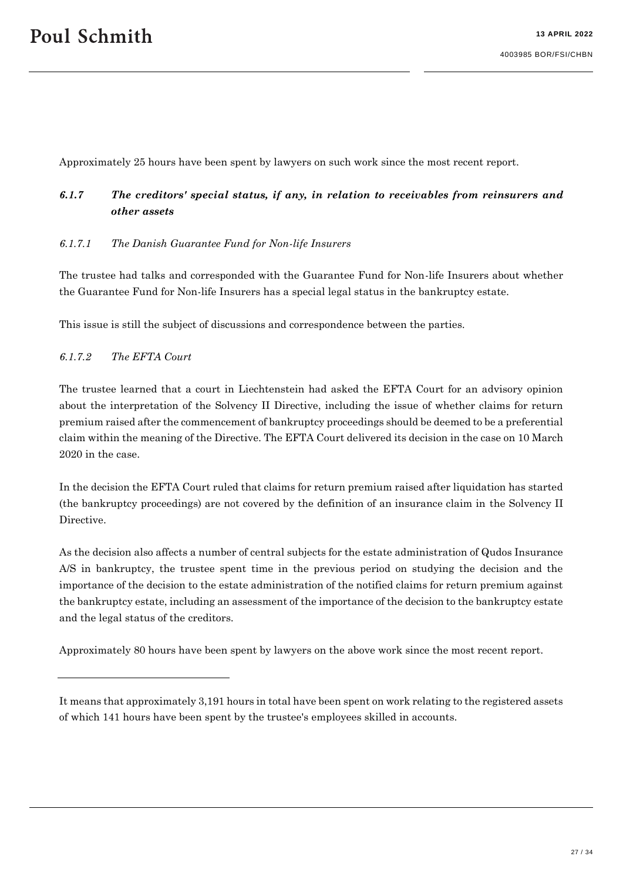Approximately 25 hours have been spent by lawyers on such work since the most recent report.

# <span id="page-26-0"></span>*6.1.7 The creditors' special status, if any, in relation to receivables from reinsurers and other assets*

#### *6.1.7.1 The Danish Guarantee Fund for Non-life Insurers*

The trustee had talks and corresponded with the Guarantee Fund for Non-life Insurers about whether the Guarantee Fund for Non-life Insurers has a special legal status in the bankruptcy estate.

This issue is still the subject of discussions and correspondence between the parties.

#### *6.1.7.2 The EFTA Court*

The trustee learned that a court in Liechtenstein had asked the EFTA Court for an advisory opinion about the interpretation of the Solvency II Directive, including the issue of whether claims for return premium raised after the commencement of bankruptcy proceedings should be deemed to be a preferential claim within the meaning of the Directive. The EFTA Court delivered its decision in the case on 10 March 2020 in the case.

In the decision the EFTA Court ruled that claims for return premium raised after liquidation has started (the bankruptcy proceedings) are not covered by the definition of an insurance claim in the Solvency II Directive.

As the decision also affects a number of central subjects for the estate administration of Qudos Insurance A/S in bankruptcy, the trustee spent time in the previous period on studying the decision and the importance of the decision to the estate administration of the notified claims for return premium against the bankruptcy estate, including an assessment of the importance of the decision to the bankruptcy estate and the legal status of the creditors.

Approximately 80 hours have been spent by lawyers on the above work since the most recent report.

It means that approximately 3,191 hours in total have been spent on work relating to the registered assets of which 141 hours have been spent by the trustee's employees skilled in accounts.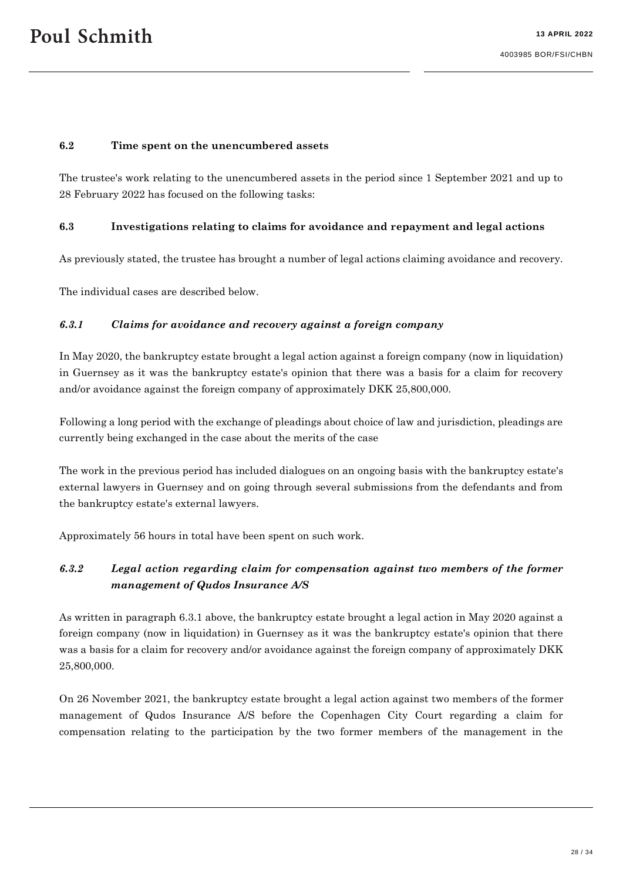#### <span id="page-27-1"></span>**6.2 Time spent on the unencumbered assets**

The trustee's work relating to the unencumbered assets in the period since 1 September 2021 and up to 28 February 2022 has focused on the following tasks:

#### <span id="page-27-0"></span>**6.3 Investigations relating to claims for avoidance and repayment and legal actions**

As previously stated, the trustee has brought a number of legal actions claiming avoidance and recovery.

The individual cases are described below.

#### *6.3.1 Claims for avoidance and recovery against a foreign company*

In May 2020, the bankruptcy estate brought a legal action against a foreign company (now in liquidation) in Guernsey as it was the bankruptcy estate's opinion that there was a basis for a claim for recovery and/or avoidance against the foreign company of approximately DKK 25,800,000.

Following a long period with the exchange of pleadings about choice of law and jurisdiction, pleadings are currently being exchanged in the case about the merits of the case

The work in the previous period has included dialogues on an ongoing basis with the bankruptcy estate's external lawyers in Guernsey and on going through several submissions from the defendants and from the bankruptcy estate's external lawyers.

Approximately 56 hours in total have been spent on such work.

# *6.3.2 Legal action regarding claim for compensation against two members of the former management of Qudos Insurance A/S*

As written in paragraph 6.3.1 above, the bankruptcy estate brought a legal action in May 2020 against a foreign company (now in liquidation) in Guernsey as it was the bankruptcy estate's opinion that there was a basis for a claim for recovery and/or avoidance against the foreign company of approximately DKK 25,800,000.

On 26 November 2021, the bankruptcy estate brought a legal action against two members of the former management of Qudos Insurance A/S before the Copenhagen City Court regarding a claim for compensation relating to the participation by the two former members of the management in the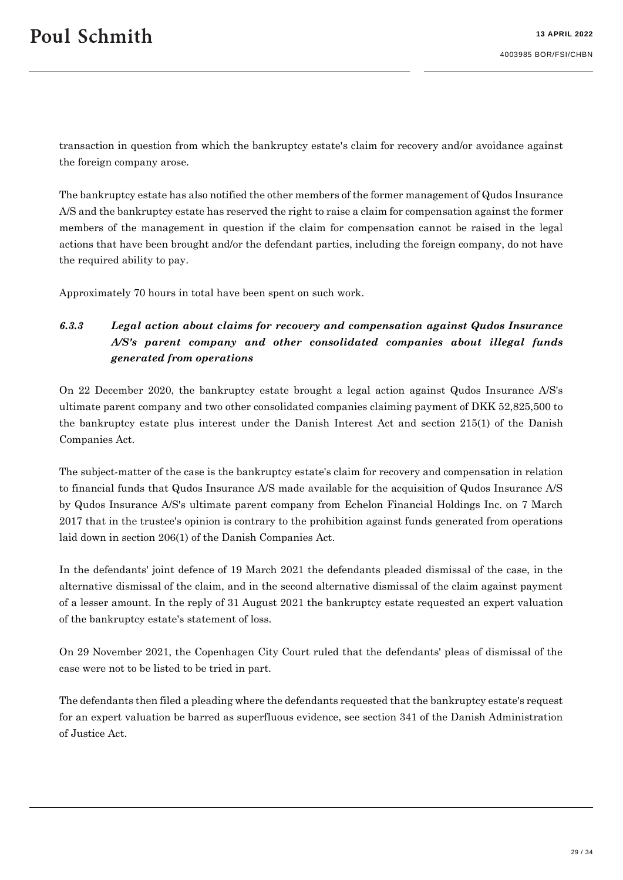transaction in question from which the bankruptcy estate's claim for recovery and/or avoidance against the foreign company arose.

The bankruptcy estate has also notified the other members of the former management of Qudos Insurance A/S and the bankruptcy estate has reserved the right to raise a claim for compensation against the former members of the management in question if the claim for compensation cannot be raised in the legal actions that have been brought and/or the defendant parties, including the foreign company, do not have the required ability to pay.

Approximately 70 hours in total have been spent on such work.

# *6.3.3 Legal action about claims for recovery and compensation against Qudos Insurance A/S's parent company and other consolidated companies about illegal funds generated from operations*

On 22 December 2020, the bankruptcy estate brought a legal action against Qudos Insurance A/S's ultimate parent company and two other consolidated companies claiming payment of DKK 52,825,500 to the bankruptcy estate plus interest under the Danish Interest Act and section 215(1) of the Danish Companies Act.

The subject-matter of the case is the bankruptcy estate's claim for recovery and compensation in relation to financial funds that Qudos Insurance A/S made available for the acquisition of Qudos Insurance A/S by Qudos Insurance A/S's ultimate parent company from Echelon Financial Holdings Inc. on 7 March 2017 that in the trustee's opinion is contrary to the prohibition against funds generated from operations laid down in section 206(1) of the Danish Companies Act.

In the defendants' joint defence of 19 March 2021 the defendants pleaded dismissal of the case, in the alternative dismissal of the claim, and in the second alternative dismissal of the claim against payment of a lesser amount. In the reply of 31 August 2021 the bankruptcy estate requested an expert valuation of the bankruptcy estate's statement of loss.

On 29 November 2021, the Copenhagen City Court ruled that the defendants' pleas of dismissal of the case were not to be listed to be tried in part.

The defendants then filed a pleading where the defendants requested that the bankruptcy estate's request for an expert valuation be barred as superfluous evidence, see section 341 of the Danish Administration of Justice Act.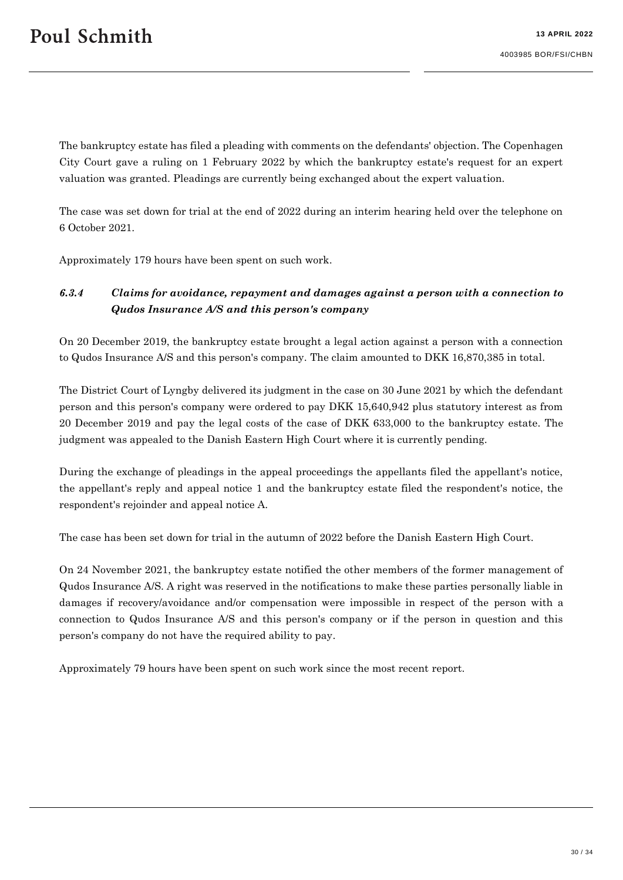The bankruptcy estate has filed a pleading with comments on the defendants' objection. The Copenhagen City Court gave a ruling on 1 February 2022 by which the bankruptcy estate's request for an expert valuation was granted. Pleadings are currently being exchanged about the expert valuation.

The case was set down for trial at the end of 2022 during an interim hearing held over the telephone on 6 October 2021.

Approximately 179 hours have been spent on such work.

# *6.3.4 Claims for avoidance, repayment and damages against a person with a connection to Qudos Insurance A/S and this person's company*

On 20 December 2019, the bankruptcy estate brought a legal action against a person with a connection to Qudos Insurance A/S and this person's company. The claim amounted to DKK 16,870,385 in total.

The District Court of Lyngby delivered its judgment in the case on 30 June 2021 by which the defendant person and this person's company were ordered to pay DKK 15,640,942 plus statutory interest as from 20 December 2019 and pay the legal costs of the case of DKK 633,000 to the bankruptcy estate. The judgment was appealed to the Danish Eastern High Court where it is currently pending.

During the exchange of pleadings in the appeal proceedings the appellants filed the appellant's notice, the appellant's reply and appeal notice 1 and the bankruptcy estate filed the respondent's notice, the respondent's rejoinder and appeal notice A.

The case has been set down for trial in the autumn of 2022 before the Danish Eastern High Court.

On 24 November 2021, the bankruptcy estate notified the other members of the former management of Qudos Insurance A/S. A right was reserved in the notifications to make these parties personally liable in damages if recovery/avoidance and/or compensation were impossible in respect of the person with a connection to Qudos Insurance A/S and this person's company or if the person in question and this person's company do not have the required ability to pay.

Approximately 79 hours have been spent on such work since the most recent report.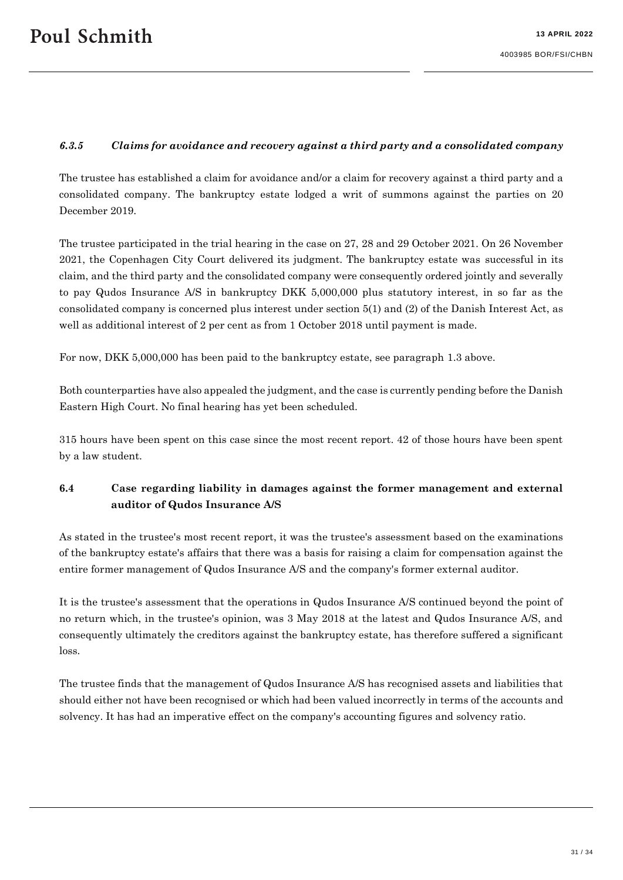#### <span id="page-30-0"></span>*6.3.5 Claims for avoidance and recovery against a third party and a consolidated company*

The trustee has established a claim for avoidance and/or a claim for recovery against a third party and a consolidated company. The bankruptcy estate lodged a writ of summons against the parties on 20 December 2019.

The trustee participated in the trial hearing in the case on 27, 28 and 29 October 2021. On 26 November 2021, the Copenhagen City Court delivered its judgment. The bankruptcy estate was successful in its claim, and the third party and the consolidated company were consequently ordered jointly and severally to pay Qudos Insurance A/S in bankruptcy DKK 5,000,000 plus statutory interest, in so far as the consolidated company is concerned plus interest under section 5(1) and (2) of the Danish Interest Act, as well as additional interest of 2 per cent as from 1 October 2018 until payment is made.

For now, DKK 5,000,000 has been paid to the bankruptcy estate, see paragraph [1.3](#page-5-0) above.

Both counterparties have also appealed the judgment, and the case is currently pending before the Danish Eastern High Court. No final hearing has yet been scheduled.

315 hours have been spent on this case since the most recent report. 42 of those hours have been spent by a law student.

# **6.4 Case regarding liability in damages against the former management and external auditor of Qudos Insurance A/S**

As stated in the trustee's most recent report, it was the trustee's assessment based on the examinations of the bankruptcy estate's affairs that there was a basis for raising a claim for compensation against the entire former management of Qudos Insurance A/S and the company's former external auditor.

It is the trustee's assessment that the operations in Qudos Insurance A/S continued beyond the point of no return which, in the trustee's opinion, was 3 May 2018 at the latest and Qudos Insurance A/S, and consequently ultimately the creditors against the bankruptcy estate, has therefore suffered a significant loss.

The trustee finds that the management of Qudos Insurance A/S has recognised assets and liabilities that should either not have been recognised or which had been valued incorrectly in terms of the accounts and solvency. It has had an imperative effect on the company's accounting figures and solvency ratio.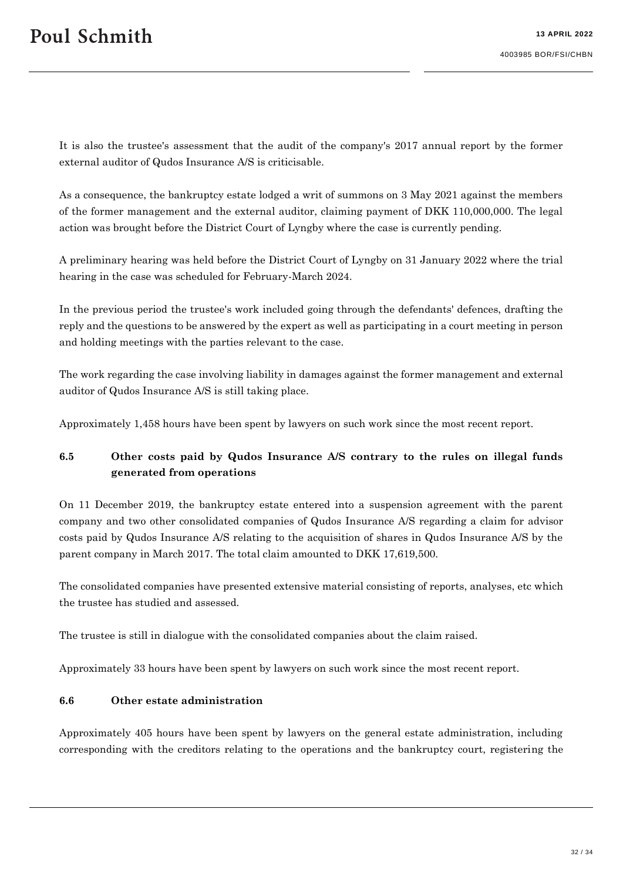It is also the trustee's assessment that the audit of the company's 2017 annual report by the former external auditor of Qudos Insurance A/S is criticisable.

As a consequence, the bankruptcy estate lodged a writ of summons on 3 May 2021 against the members of the former management and the external auditor, claiming payment of DKK 110,000,000. The legal action was brought before the District Court of Lyngby where the case is currently pending.

A preliminary hearing was held before the District Court of Lyngby on 31 January 2022 where the trial hearing in the case was scheduled for February-March 2024.

In the previous period the trustee's work included going through the defendants' defences, drafting the reply and the questions to be answered by the expert as well as participating in a court meeting in person and holding meetings with the parties relevant to the case.

The work regarding the case involving liability in damages against the former management and external auditor of Qudos Insurance A/S is still taking place.

Approximately 1,458 hours have been spent by lawyers on such work since the most recent report.

# **6.5 Other costs paid by Qudos Insurance A/S contrary to the rules on illegal funds generated from operations**

On 11 December 2019, the bankruptcy estate entered into a suspension agreement with the parent company and two other consolidated companies of Qudos Insurance A/S regarding a claim for advisor costs paid by Qudos Insurance A/S relating to the acquisition of shares in Qudos Insurance A/S by the parent company in March 2017. The total claim amounted to DKK 17,619,500.

The consolidated companies have presented extensive material consisting of reports, analyses, etc which the trustee has studied and assessed.

The trustee is still in dialogue with the consolidated companies about the claim raised.

Approximately 33 hours have been spent by lawyers on such work since the most recent report.

#### **6.6 Other estate administration**

Approximately 405 hours have been spent by lawyers on the general estate administration, including corresponding with the creditors relating to the operations and the bankruptcy court, registering the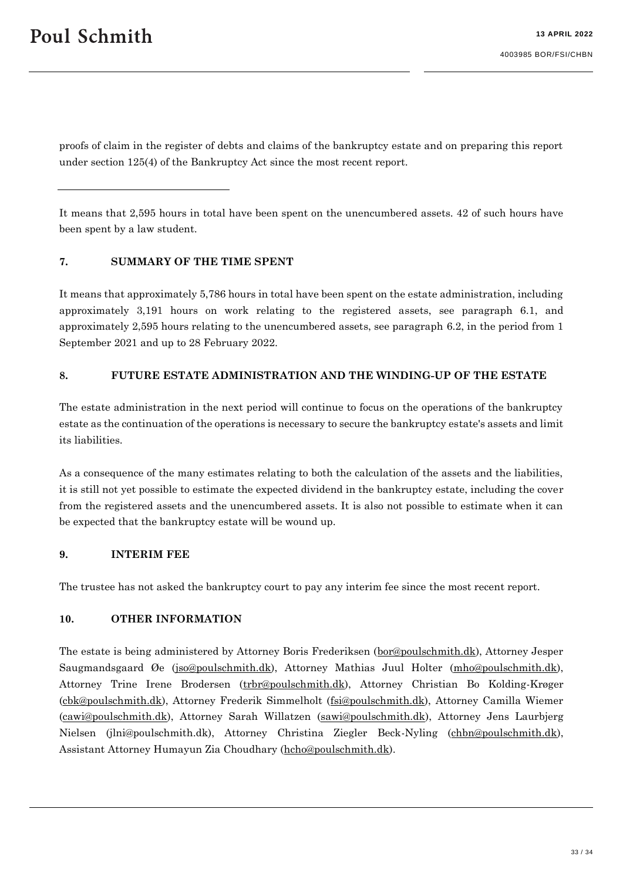proofs of claim in the register of debts and claims of the bankruptcy estate and on preparing this report under section 125(4) of the Bankruptcy Act since the most recent report.

It means that 2,595 hours in total have been spent on the unencumbered assets. 42 of such hours have been spent by a law student.

#### **7. SUMMARY OF THE TIME SPENT**

It means that approximately 5,786 hours in total have been spent on the estate administration, including approximately 3,191 hours on work relating to the registered assets, see paragraph [6.1,](#page-10-1) and approximately 2,595 hours relating to the unencumbered assets, see paragraph [6.2,](#page-27-1) in the period from 1 September 2021 and up to 28 February 2022.

#### **8. FUTURE ESTATE ADMINISTRATION AND THE WINDING-UP OF THE ESTATE**

The estate administration in the next period will continue to focus on the operations of the bankruptcy estate as the continuation of the operations is necessary to secure the bankruptcy estate's assets and limit its liabilities.

As a consequence of the many estimates relating to both the calculation of the assets and the liabilities, it is still not yet possible to estimate the expected dividend in the bankruptcy estate, including the cover from the registered assets and the unencumbered assets. It is also not possible to estimate when it can be expected that the bankruptcy estate will be wound up.

#### **9. INTERIM FEE**

The trustee has not asked the bankruptcy court to pay any interim fee since the most recent report.

#### **10. OTHER INFORMATION**

The estate is being administered by Attorney Boris Frederiksen [\(bor@poulschmith.dk\)](mailto:bor@poulschmith.dk), Attorney Jesper Saugmandsgaard Øe [\(jso@poulschmith.dk\)](mailto:jso@poulschmith.dk), Attorney Mathias Juul Holter [\(mho@poulschmith.dk\)](mailto:mho@poulschmith.dk), Attorney Trine Irene Brodersen [\(trbr@poulschmith.dk\)](mailto:trbr@poulschmith.dk), Attorney Christian Bo Kolding-Krøger [\(cbk@poulschmith.dk\)](mailto:cbk@poulschmith.dk), Attorney Frederik Simmelholt [\(fsi@poulschmith.dk\)](mailto:fsi@poulschmith.dk), Attorney Camilla Wiemer [\(cawi@poulschmith.dk\)](mailto:cawi@poulschmith.dk), Attorney Sarah Willatzen [\(sawi@poulschmith.dk\)](mailto:sawi@poulschmith.dk), Attorney Jens Laurbjerg Nielsen (jlni@poulschmith.dk), Attorney Christina Ziegler Beck-Nyling [\(chbn@poulschmith.dk\)](mailto:chbn@poulschmith.dk), Assistant Attorney Humayun Zia Choudhary [\(hcho@poulschmith.dk\)](mailto:hcho@poulschmith.dk).